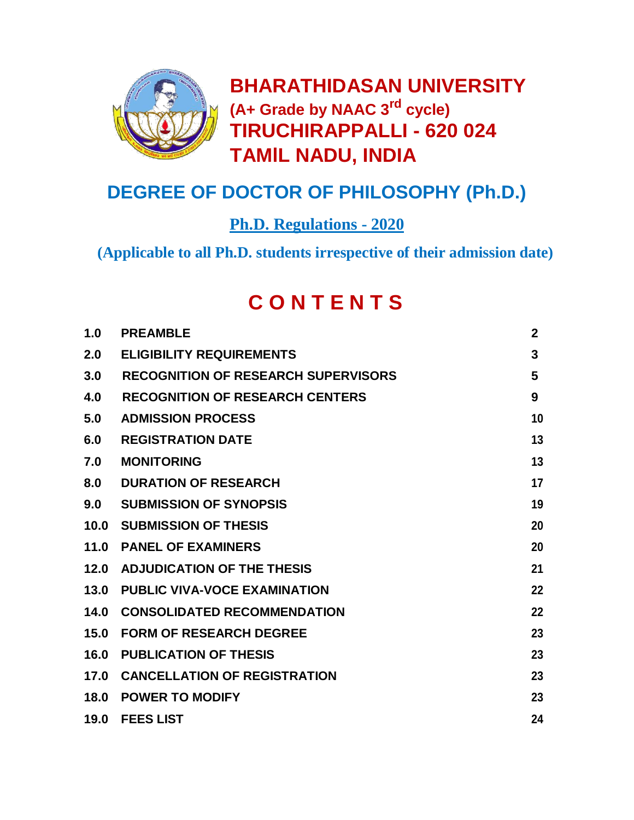

**BHARATHIDASAN UNIVERSITY (A+ Grade by NAAC 3rd cycle) TIRUCHIRAPPALLI - 620 024 TAMlL NADU, INDIA**

# **DEGREE OF DOCTOR OF PHILOSOPHY (Ph.D.)**

**Ph.D. Regulations - 2020**

**(Applicable to all Ph.D. students irrespective of their admission date)**

# **C O N T E N T S**

| 1.0  | <b>PREAMBLE</b>                            | $\mathbf{2}$ |
|------|--------------------------------------------|--------------|
| 2.0  | <b>ELIGIBILITY REQUIREMENTS</b>            | 3            |
| 3.0  | <b>RECOGNITION OF RESEARCH SUPERVISORS</b> | 5            |
| 4.0  | <b>RECOGNITION OF RESEARCH CENTERS</b>     | 9            |
| 5.0  | <b>ADMISSION PROCESS</b>                   | 10           |
| 6.0  | <b>REGISTRATION DATE</b>                   | 13           |
| 7.0  | <b>MONITORING</b>                          | 13           |
| 8.0  | <b>DURATION OF RESEARCH</b>                | 17           |
| 9.0  | <b>SUBMISSION OF SYNOPSIS</b>              | 19           |
| 10.0 | <b>SUBMISSION OF THESIS</b>                | 20           |
| 11.0 | <b>PANEL OF EXAMINERS</b>                  | 20           |
| 12.0 | <b>ADJUDICATION OF THE THESIS</b>          | 21           |
| 13.0 | <b>PUBLIC VIVA-VOCE EXAMINATION</b>        | 22           |
| 14.0 | <b>CONSOLIDATED RECOMMENDATION</b>         | 22           |
| 15.0 | <b>FORM OF RESEARCH DEGREE</b>             | 23           |
| 16.0 | <b>PUBLICATION OF THESIS</b>               | 23           |
| 17.0 | <b>CANCELLATION OF REGISTRATION</b>        | 23           |
| 18.0 | <b>POWER TO MODIFY</b>                     | 23           |
| 19.0 | <b>FEES LIST</b>                           | 24           |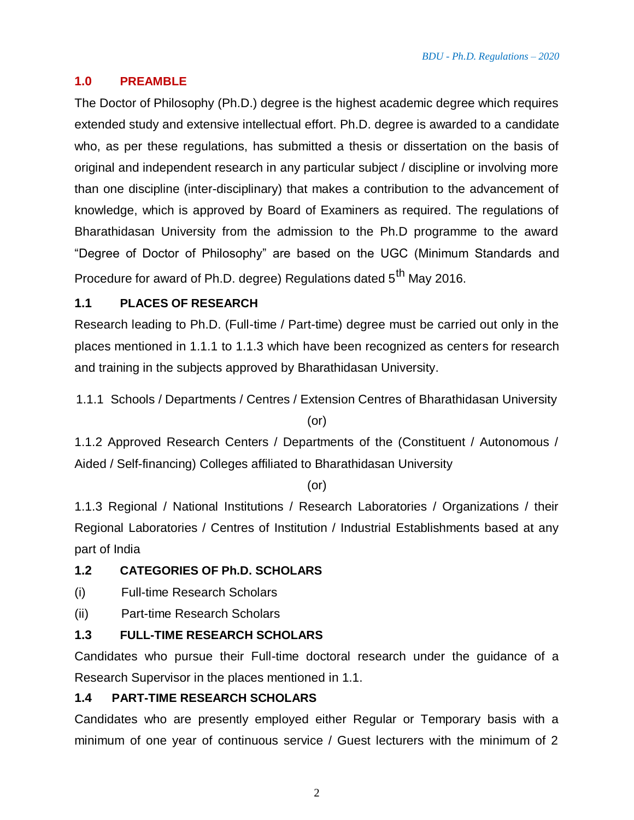#### **1.0 PREAMBLE**

The Doctor of Philosophy (Ph.D.) degree is the highest academic degree which requires extended study and extensive intellectual effort. Ph.D. degree is awarded to a candidate who, as per these regulations, has submitted a thesis or dissertation on the basis of original and independent research in any particular subject / discipline or involving more than one discipline (inter-disciplinary) that makes a contribution to the advancement of knowledge, which is approved by Board of Examiners as required. The regulations of Bharathidasan University from the admission to the Ph.D programme to the award "Degree of Doctor of Philosophy" are based on the UGC (Minimum Standards and Procedure for award of Ph.D. degree) Regulations dated 5<sup>th</sup> May 2016.

#### **1.1 PLACES OF RESEARCH**

Research leading to Ph.D. (Full-time / Part-time) degree must be carried out only in the places mentioned in 1.1.1 to 1.1.3 which have been recognized as centers for research and training in the subjects approved by Bharathidasan University.

1.1.1 Schools / Departments / Centres / Extension Centres of Bharathidasan University

(or)

1.1.2 Approved Research Centers / Departments of the (Constituent / Autonomous / Aided / Self-financing) Colleges affiliated to Bharathidasan University

(or)

1.1.3 Regional / National Institutions / Research Laboratories / Organizations / their Regional Laboratories / Centres of Institution / Industrial Establishments based at any part of India

#### **1.2 CATEGORIES OF Ph.D. SCHOLARS**

- (i) Full-time Research Scholars
- (ii) Part-time Research Scholars

#### **1.3 FULL-TIME RESEARCH SCHOLARS**

Candidates who pursue their Full-time doctoral research under the guidance of a Research Supervisor in the places mentioned in 1.1.

#### **1.4 PART-TIME RESEARCH SCHOLARS**

Candidates who are presently employed either Regular or Temporary basis with a minimum of one year of continuous service / Guest lecturers with the minimum of 2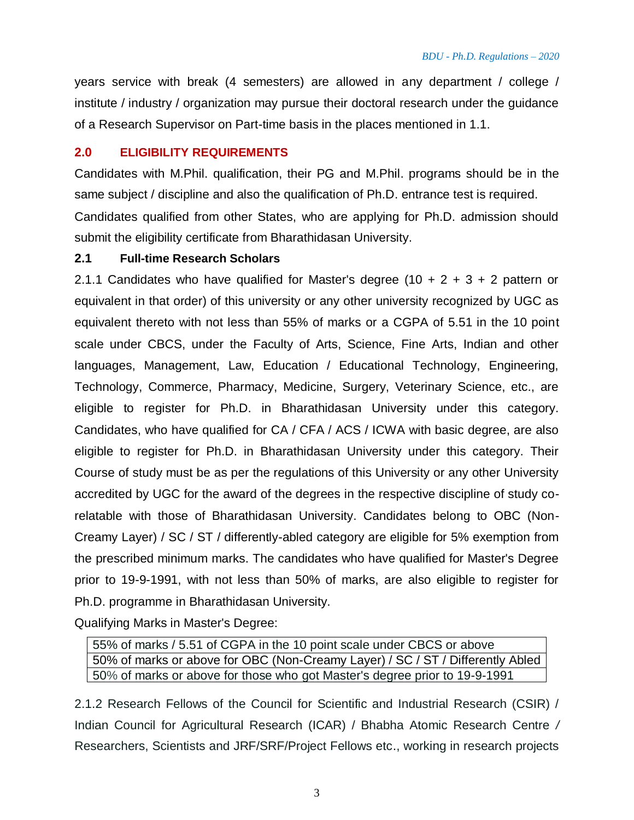years service with break (4 semesters) are allowed in any department / college / institute / industry / organization may pursue their doctoral research under the guidance of a Research Supervisor on Part-time basis in the places mentioned in 1.1.

#### **2.0 ELIGIBILITY REQUIREMENTS**

Candidates with M.Phil. qualification, their PG and M.Phil. programs should be in the same subject / discipline and also the qualification of Ph.D. entrance test is required. Candidates qualified from other States, who are applying for Ph.D. admission should submit the eligibility certificate from Bharathidasan University.

#### **2.1 Full-time Research Scholars**

2.1.1 Candidates who have qualified for Master's degree (10 + 2 + 3 + 2 pattern or equivalent in that order) of this university or any other university recognized by UGC as equivalent thereto with not less than 55% of marks or a CGPA of 5.51 in the 10 point scale under CBCS, under the Faculty of Arts, Science, Fine Arts, Indian and other languages, Management, Law, Education / Educational Technology, Engineering, Technology, Commerce, Pharmacy, Medicine, Surgery, Veterinary Science, etc., are eligible to register for Ph.D. in Bharathidasan University under this category. Candidates, who have qualified for CA / CFA / ACS / ICWA with basic degree, are also eligible to register for Ph.D. in Bharathidasan University under this category. Their Course of study must be as per the regulations of this University or any other University accredited by UGC for the award of the degrees in the respective discipline of study corelatable with those of Bharathidasan University. Candidates belong to OBC (Non-Creamy Layer) / SC / ST / differently-abled category are eligible for 5% exemption from the prescribed minimum marks. The candidates who have qualified for Master's Degree prior to 19-9-1991, with not less than 50% of marks, are also eligible to register for Ph.D. programme in Bharathidasan University.

Qualifying Marks in Master's Degree:

55% of marks / 5.51 of CGPA in the 10 point scale under CBCS or above 50% of marks or above for OBC (Non-Creamy Layer) / SC / ST / Differently Abled 50% of marks or above for those who got Master's degree prior to 19-9-1991

2.1.2 Research Fellows of the Council for Scientific and Industrial Research (CSIR) / Indian Council for Agricultural Research (ICAR) / Bhabha Atomic Research Centre */* Researchers, Scientists and JRF/SRF/Project Fellows etc., working in research projects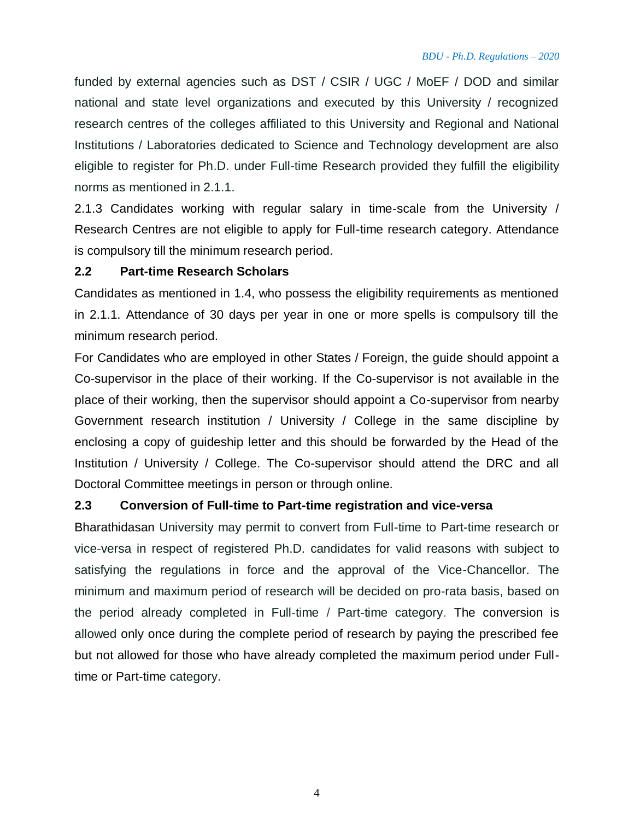funded by external agencies such as DST / CSIR / UGC / MoEF / DOD and similar national and state level organizations and executed by this University / recognized research centres of the colleges affiliated to this University and Regional and National Institutions / Laboratories dedicated to Science and Technology development are also eligible to register for Ph.D. under Full-time Research provided they fulfill the eligibility norms as mentioned in 2.1.1.

2.1.3 Candidates working with regular salary in time-scale from the University / Research Centres are not eligible to apply for Full-time research category. Attendance is compulsory till the minimum research period.

#### **2.2 Part-time Research Scholars**

Candidates as mentioned in 1.4, who possess the eligibility requirements as mentioned in 2.1.1. Attendance of 30 days per year in one or more spells is compulsory till the minimum research period.

For Candidates who are employed in other States / Foreign, the guide should appoint a Co-supervisor in the place of their working. If the Co-supervisor is not available in the place of their working, then the supervisor should appoint a Co-supervisor from nearby Government research institution / University / College in the same discipline by enclosing a copy of guideship letter and this should be forwarded by the Head of the Institution / University / College. The Co-supervisor should attend the DRC and all Doctoral Committee meetings in person or through online.

#### **2.3 Conversion of Full-time to Part-time registration and vice-versa**

Bharathidasan University may permit to convert from Full-time to Part-time research or vice-versa in respect of registered Ph.D. candidates for valid reasons with subject to satisfying the regulations in force and the approval of the Vice-Chancellor. The minimum and maximum period of research will be decided on pro-rata basis, based on the period already completed in Full-time / Part-time category. The conversion is allowed only once during the complete period of research by paying the prescribed fee but not allowed for those who have already completed the maximum period under Fulltime or Part-time category.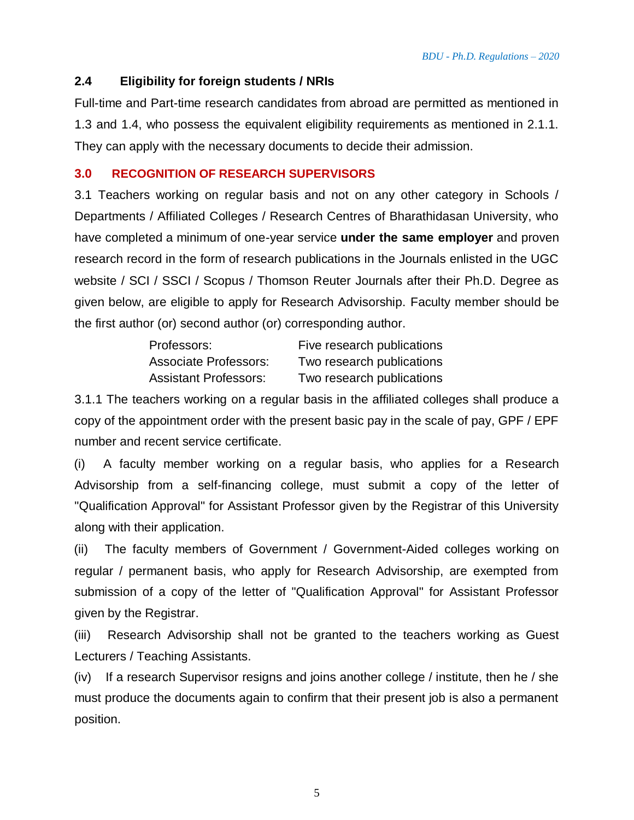#### **2.4 Eligibility for foreign students / NRIs**

Full-time and Part-time research candidates from abroad are permitted as mentioned in 1.3 and 1.4, who possess the equivalent eligibility requirements as mentioned in 2.1.1. They can apply with the necessary documents to decide their admission.

#### **3.0 RECOGNITION OF RESEARCH SUPERVISORS**

3.1 Teachers working on regular basis and not on any other category in Schools / Departments / Affiliated Colleges / Research Centres of Bharathidasan University, who have completed a minimum of one-year service **under the same employer** and proven research record in the form of research publications in the Journals enlisted in the UGC website / SCI / SSCI / Scopus / Thomson Reuter Journals after their Ph.D. Degree as given below, are eligible to apply for Research Advisorship. Faculty member should be the first author (or) second author (or) corresponding author.

| Professors:                  | Five research publications |
|------------------------------|----------------------------|
| <b>Associate Professors:</b> | Two research publications  |
| <b>Assistant Professors:</b> | Two research publications  |

3.1.1 The teachers working on a regular basis in the affiliated colleges shall produce a copy of the appointment order with the present basic pay in the scale of pay, GPF / EPF number and recent service certificate.

(i) A faculty member working on a regular basis, who applies for a Research Advisorship from a self-financing college, must submit a copy of the letter of "Qualification Approval" for Assistant Professor given by the Registrar of this University along with their application.

(ii) The faculty members of Government / Government-Aided colleges working on regular / permanent basis, who apply for Research Advisorship, are exempted from submission of a copy of the letter of "Qualification Approval" for Assistant Professor given by the Registrar.

(iii) Research Advisorship shall not be granted to the teachers working as Guest Lecturers / Teaching Assistants.

(iv) If a research Supervisor resigns and joins another college / institute, then he / she must produce the documents again to confirm that their present job is also a permanent position.

5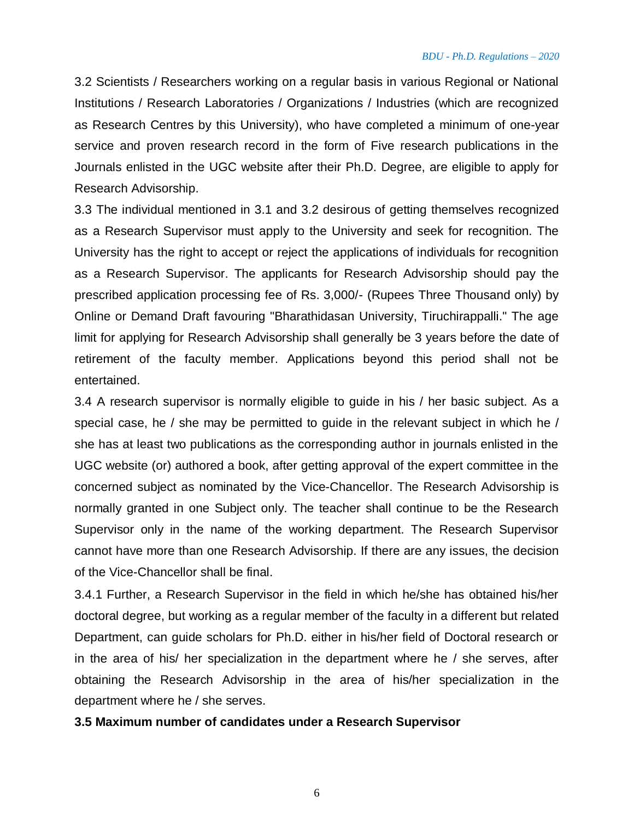3.2 Scientists / Researchers working on a regular basis in various Regional or National Institutions / Research Laboratories / Organizations / Industries (which are recognized as Research Centres by this University), who have completed a minimum of one-year service and proven research record in the form of Five research publications in the Journals enlisted in the UGC website after their Ph.D. Degree, are eligible to apply for Research Advisorship.

3.3 The individual mentioned in 3.1 and 3.2 desirous of getting themselves recognized as a Research Supervisor must apply to the University and seek for recognition. The University has the right to accept or reject the applications of individuals for recognition as a Research Supervisor. The applicants for Research Advisorship should pay the prescribed application processing fee of Rs. 3,000/- (Rupees Three Thousand only) by Online or Demand Draft favouring "Bharathidasan University, Tiruchirappalli." The age limit for applying for Research Advisorship shall generally be 3 years before the date of retirement of the faculty member. Applications beyond this period shall not be entertained.

3.4 A research supervisor is normally eligible to guide in his / her basic subject. As a special case, he / she may be permitted to guide in the relevant subject in which he / she has at least two publications as the corresponding author in journals enlisted in the UGC website (or) authored a book, after getting approval of the expert committee in the concerned subject as nominated by the Vice-Chancellor. The Research Advisorship is normally granted in one Subject only. The teacher shall continue to be the Research Supervisor only in the name of the working department. The Research Supervisor cannot have more than one Research Advisorship. If there are any issues, the decision of the Vice-Chancellor shall be final.

3.4.1 Further, a Research Supervisor in the field in which he/she has obtained his/her doctoral degree, but working as a regular member of the faculty in a different but related Department, can guide scholars for Ph.D. either in his/her field of Doctoral research or in the area of his/ her specialization in the department where he / she serves, after obtaining the Research Advisorship in the area of his/her specialization in the department where he / she serves.

#### **3.5 Maximum number of candidates under a Research Supervisor**

6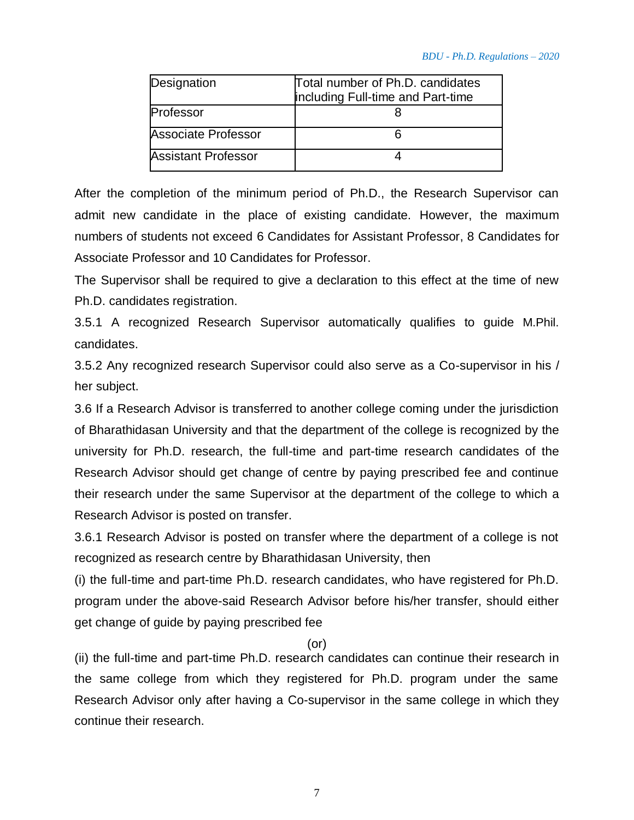| Designation                | Total number of Ph.D. candidates<br>including Full-time and Part-time |
|----------------------------|-----------------------------------------------------------------------|
| Professor                  |                                                                       |
| Associate Professor        |                                                                       |
| <b>Assistant Professor</b> |                                                                       |

After the completion of the minimum period of Ph.D., the Research Supervisor can admit new candidate in the place of existing candidate. However, the maximum numbers of students not exceed 6 Candidates for Assistant Professor, 8 Candidates for Associate Professor and 10 Candidates for Professor.

The Supervisor shall be required to give a declaration to this effect at the time of new Ph.D. candidates registration.

3.5.1 A recognized Research Supervisor automatically qualifies to guide M.Phil. candidates.

3.5.2 Any recognized research Supervisor could also serve as a Co-supervisor in his / her subject.

3.6 If a Research Advisor is transferred to another college coming under the jurisdiction of Bharathidasan University and that the department of the college is recognized by the university for Ph.D. research, the full-time and part-time research candidates of the Research Advisor should get change of centre by paying prescribed fee and continue their research under the same Supervisor at the department of the college to which a Research Advisor is posted on transfer.

3.6.1 Research Advisor is posted on transfer where the department of a college is not recognized as research centre by Bharathidasan University, then

(i) the full-time and part-time Ph.D. research candidates, who have registered for Ph.D. program under the above-said Research Advisor before his/her transfer, should either get change of guide by paying prescribed fee

(or)

(ii) the full-time and part-time Ph.D. research candidates can continue their research in the same college from which they registered for Ph.D. program under the same Research Advisor only after having a Co-supervisor in the same college in which they continue their research.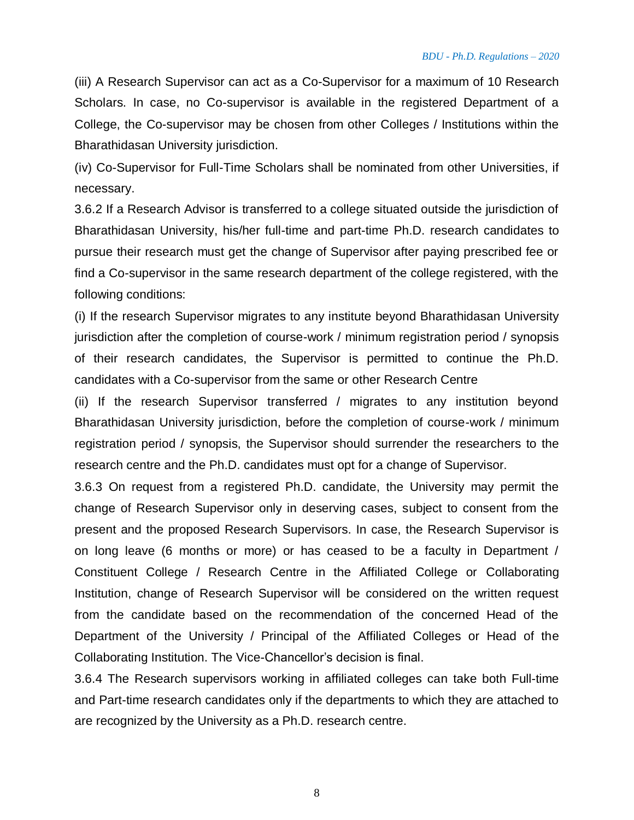(iii) A Research Supervisor can act as a Co-Supervisor for a maximum of 10 Research Scholars. In case, no Co-supervisor is available in the registered Department of a College, the Co-supervisor may be chosen from other Colleges / Institutions within the Bharathidasan University jurisdiction.

(iv) Co-Supervisor for Full-Time Scholars shall be nominated from other Universities, if necessary.

3.6.2 If a Research Advisor is transferred to a college situated outside the jurisdiction of Bharathidasan University, his/her full-time and part-time Ph.D. research candidates to pursue their research must get the change of Supervisor after paying prescribed fee or find a Co-supervisor in the same research department of the college registered, with the following conditions:

(i) If the research Supervisor migrates to any institute beyond Bharathidasan University jurisdiction after the completion of course-work / minimum registration period / synopsis of their research candidates, the Supervisor is permitted to continue the Ph.D. candidates with a Co-supervisor from the same or other Research Centre

(ii) If the research Supervisor transferred / migrates to any institution beyond Bharathidasan University jurisdiction, before the completion of course-work / minimum registration period / synopsis, the Supervisor should surrender the researchers to the research centre and the Ph.D. candidates must opt for a change of Supervisor.

3.6.3 On request from a registered Ph.D. candidate, the University may permit the change of Research Supervisor only in deserving cases, subject to consent from the present and the proposed Research Supervisors. In case, the Research Supervisor is on long leave (6 months or more) or has ceased to be a faculty in Department / Constituent College / Research Centre in the Affiliated College or Collaborating Institution, change of Research Supervisor will be considered on the written request from the candidate based on the recommendation of the concerned Head of the Department of the University / Principal of the Affiliated Colleges or Head of the Collaborating Institution. The Vice-Chancellor's decision is final.

3.6.4 The Research supervisors working in affiliated colleges can take both Full-time and Part-time research candidates only if the departments to which they are attached to are recognized by the University as a Ph.D. research centre.

8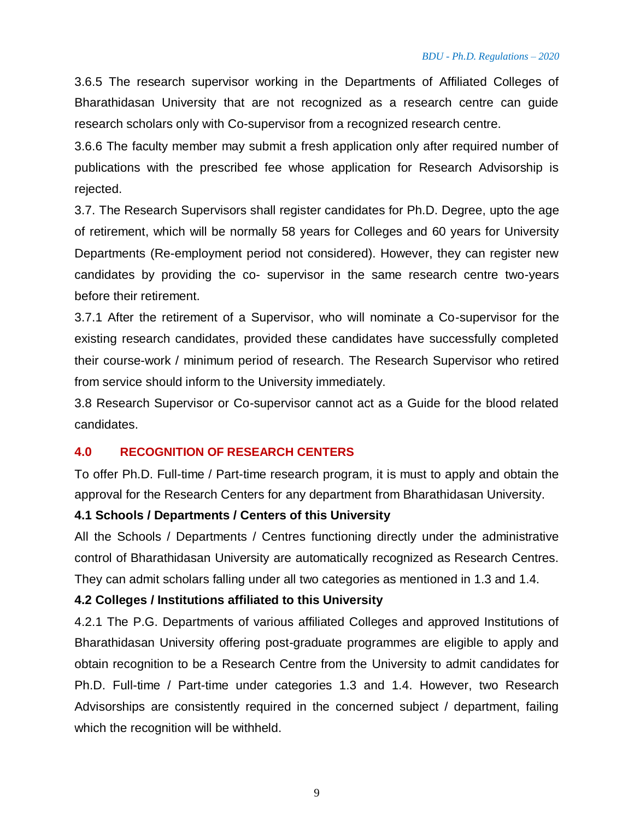3.6.5 The research supervisor working in the Departments of Affiliated Colleges of Bharathidasan University that are not recognized as a research centre can guide research scholars only with Co-supervisor from a recognized research centre.

3.6.6 The faculty member may submit a fresh application only after required number of publications with the prescribed fee whose application for Research Advisorship is rejected.

3.7. The Research Supervisors shall register candidates for Ph.D. Degree, upto the age of retirement, which will be normally 58 years for Colleges and 60 years for University Departments (Re-employment period not considered). However, they can register new candidates by providing the co- supervisor in the same research centre two-years before their retirement.

3.7.1 After the retirement of a Supervisor, who will nominate a Co-supervisor for the existing research candidates, provided these candidates have successfully completed their course-work / minimum period of research. The Research Supervisor who retired from service should inform to the University immediately.

3.8 Research Supervisor or Co-supervisor cannot act as a Guide for the blood related candidates.

#### **4.0 RECOGNITION OF RESEARCH CENTERS**

To offer Ph.D. Full-time / Part-time research program, it is must to apply and obtain the approval for the Research Centers for any department from Bharathidasan University.

#### **4.1 Schools / Departments / Centers of this University**

All the Schools / Departments / Centres functioning directly under the administrative control of Bharathidasan University are automatically recognized as Research Centres. They can admit scholars falling under all two categories as mentioned in 1.3 and 1.4.

#### **4.2 Colleges / Institutions affiliated to this University**

4.2.1 The P.G. Departments of various affiliated Colleges and approved Institutions of Bharathidasan University offering post-graduate programmes are eligible to apply and obtain recognition to be a Research Centre from the University to admit candidates for Ph.D. Full-time / Part-time under categories 1.3 and 1.4. However, two Research Advisorships are consistently required in the concerned subject / department, failing which the recognition will be withheld.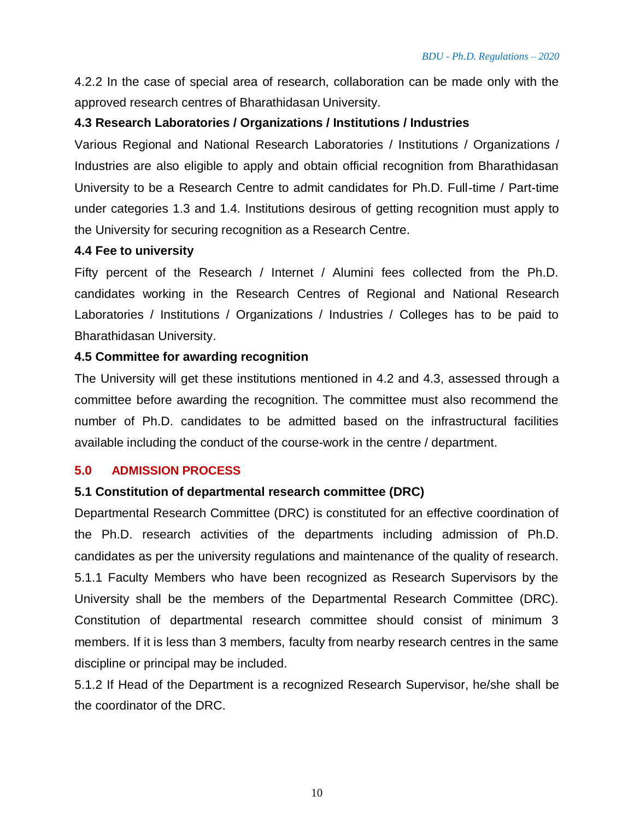4.2.2 In the case of special area of research, collaboration can be made only with the approved research centres of Bharathidasan University.

#### **4.3 Research Laboratories / Organizations / Institutions / Industries**

Various Regional and National Research Laboratories / Institutions / Organizations / Industries are also eligible to apply and obtain official recognition from Bharathidasan University to be a Research Centre to admit candidates for Ph.D. Full-time / Part-time under categories 1.3 and 1.4. Institutions desirous of getting recognition must apply to the University for securing recognition as a Research Centre.

#### **4.4 Fee to university**

Fifty percent of the Research / Internet / Alumini fees collected from the Ph.D. candidates working in the Research Centres of Regional and National Research Laboratories / Institutions / Organizations / Industries / Colleges has to be paid to Bharathidasan University.

#### **4.5 Committee for awarding recognition**

The University will get these institutions mentioned in 4.2 and 4.3, assessed through a committee before awarding the recognition. The committee must also recommend the number of Ph.D. candidates to be admitted based on the infrastructural facilities available including the conduct of the course-work in the centre / department.

#### **5.0 ADMISSION PROCESS**

#### **5.1 Constitution of departmental research committee (DRC)**

Departmental Research Committee (DRC) is constituted for an effective coordination of the Ph.D. research activities of the departments including admission of Ph.D. candidates as per the university regulations and maintenance of the quality of research. 5.1.1 Faculty Members who have been recognized as Research Supervisors by the University shall be the members of the Departmental Research Committee (DRC). Constitution of departmental research committee should consist of minimum 3 members. If it is less than 3 members, faculty from nearby research centres in the same discipline or principal may be included.

5.1.2 If Head of the Department is a recognized Research Supervisor, he/she shall be the coordinator of the DRC.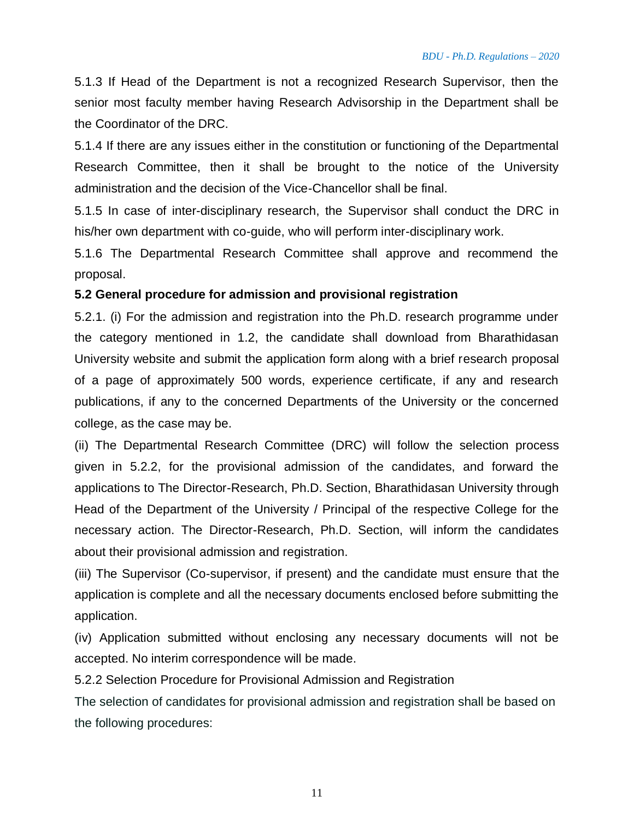5.1.3 If Head of the Department is not a recognized Research Supervisor, then the senior most faculty member having Research Advisorship in the Department shall be the Coordinator of the DRC.

5.1.4 If there are any issues either in the constitution or functioning of the Departmental Research Committee, then it shall be brought to the notice of the University administration and the decision of the Vice-Chancellor shall be final.

5.1.5 In case of inter-disciplinary research, the Supervisor shall conduct the DRC in his/her own department with co-guide, who will perform inter-disciplinary work.

5.1.6 The Departmental Research Committee shall approve and recommend the proposal.

#### **5.2 General procedure for admission and provisional registration**

5.2.1. (i) For the admission and registration into the Ph.D. research programme under the category mentioned in 1.2, the candidate shall download from Bharathidasan University website and submit the application form along with a brief research proposal of a page of approximately 500 words, experience certificate, if any and research publications, if any to the concerned Departments of the University or the concerned college, as the case may be.

(ii) The Departmental Research Committee (DRC) will follow the selection process given in 5.2.2, for the provisional admission of the candidates, and forward the applications to The Director-Research, Ph.D. Section, Bharathidasan University through Head of the Department of the University / Principal of the respective College for the necessary action. The Director-Research, Ph.D. Section, will inform the candidates about their provisional admission and registration.

(iii) The Supervisor (Co-supervisor, if present) and the candidate must ensure that the application is complete and all the necessary documents enclosed before submitting the application.

(iv) Application submitted without enclosing any necessary documents will not be accepted. No interim correspondence will be made.

5.2.2 Selection Procedure for Provisional Admission and Registration

The selection of candidates for provisional admission and registration shall be based on the following procedures:

11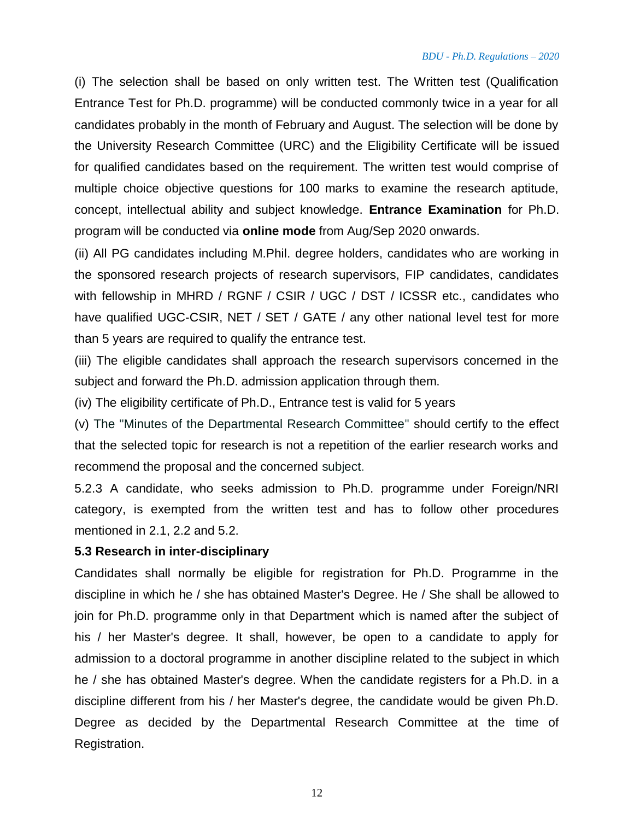(i) The selection shall be based on only written test. The Written test (Qualification Entrance Test for Ph.D. programme) will be conducted commonly twice in a year for all candidates probably in the month of February and August. The selection will be done by the University Research Committee (URC) and the Eligibility Certificate will be issued for qualified candidates based on the requirement. The written test would comprise of multiple choice objective questions for 100 marks to examine the research aptitude, concept, intellectual ability and subject knowledge. **Entrance Examination** for Ph.D. program will be conducted via **online mode** from Aug/Sep 2020 onwards.

(ii) All PG candidates including M.Phil. degree holders, candidates who are working in the sponsored research projects of research supervisors, FIP candidates, candidates with fellowship in MHRD / RGNF / CSIR / UGC / DST / ICSSR etc., candidates who have qualified UGC-CSIR, NET / SET / GATE / any other national level test for more than 5 years are required to qualify the entrance test.

(iii) The eligible candidates shall approach the research supervisors concerned in the subject and forward the Ph.D. admission application through them.

(iv) The eligibility certificate of Ph.D., Entrance test is valid for 5 years

(v) The "Minutes of the Departmental Research Committee" should certify to the effect that the selected topic for research is not a repetition of the earlier research works and recommend the proposal and the concerned subject.

5.2.3 A candidate, who seeks admission to Ph.D. programme under Foreign/NRI category, is exempted from the written test and has to follow other procedures mentioned in 2.1, 2.2 and 5.2.

#### **5.3 Research in inter-disciplinary**

Candidates shall normally be eligible for registration for Ph.D. Programme in the discipline in which he / she has obtained Master's Degree. He / She shall be allowed to join for Ph.D. programme only in that Department which is named after the subject of his / her Master's degree. It shall, however, be open to a candidate to apply for admission to a doctoral programme in another discipline related to the subject in which he / she has obtained Master's degree. When the candidate registers for a Ph.D. in a discipline different from his / her Master's degree, the candidate would be given Ph.D. Degree as decided by the Departmental Research Committee at the time of Registration.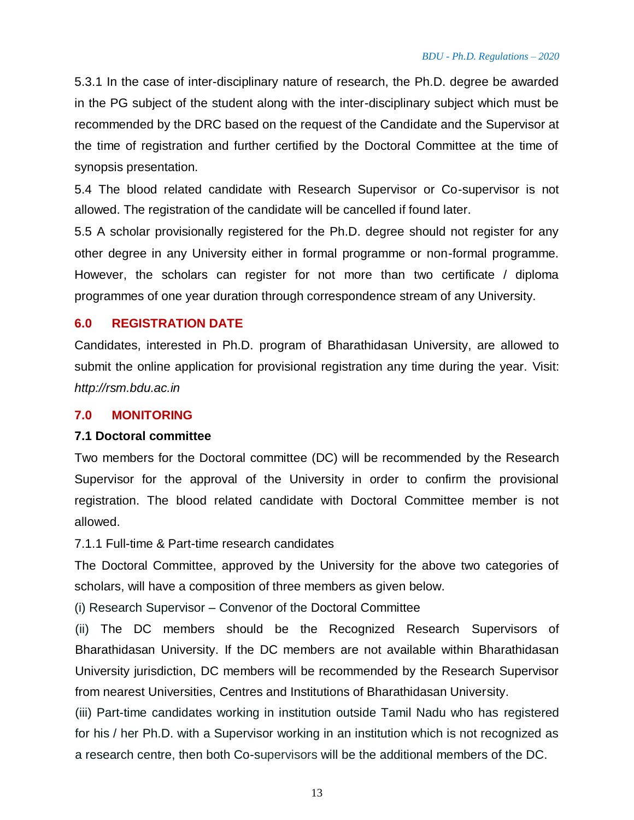5.3.1 In the case of inter-disciplinary nature of research, the Ph.D. degree be awarded in the PG subject of the student along with the inter-disciplinary subject which must be recommended by the DRC based on the request of the Candidate and the Supervisor at the time of registration and further certified by the Doctoral Committee at the time of synopsis presentation.

5.4 The blood related candidate with Research Supervisor or Co-supervisor is not allowed. The registration of the candidate will be cancelled if found later.

5.5 A scholar provisionally registered for the Ph.D. degree should not register for any other degree in any University either in formal programme or non-formal programme. However, the scholars can register for not more than two certificate / diploma programmes of one year duration through correspondence stream of any University.

#### **6.0 REGISTRATION DATE**

Candidates, interested in Ph.D. program of Bharathidasan University, are allowed to submit the online application for provisional registration any time during the year. Visit: *http://rsm.bdu.ac.in*

#### **7.0 MONITORING**

#### **7.1 Doctoral committee**

Two members for the Doctoral committee (DC) will be recommended by the Research Supervisor for the approval of the University in order to confirm the provisional registration. The blood related candidate with Doctoral Committee member is not allowed.

7.1.1 Full-time & Part-time research candidates

The Doctoral Committee, approved by the University for the above two categories of scholars, will have a composition of three members as given below.

(i) Research Supervisor – Convenor of the Doctoral Committee

(ii) The DC members should be the Recognized Research Supervisors of Bharathidasan University. If the DC members are not available within Bharathidasan University jurisdiction, DC members will be recommended by the Research Supervisor from nearest Universities, Centres and Institutions of Bharathidasan University.

(iii) Part-time candidates working in institution outside Tamil Nadu who has registered for his / her Ph.D. with a Supervisor working in an institution which is not recognized as a research centre, then both Co-supervisors will be the additional members of the DC.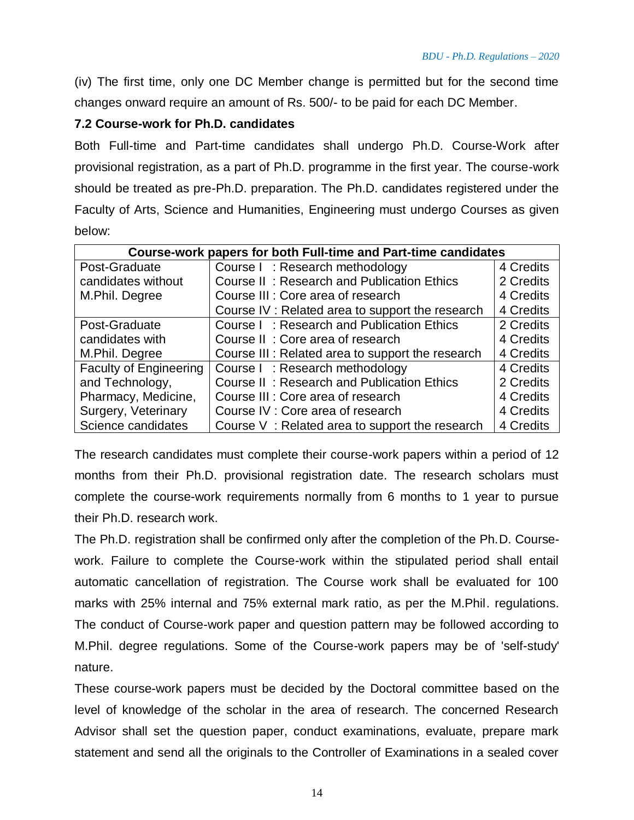(iv) The first time, only one DC Member change is permitted but for the second time changes onward require an amount of Rs. 500/- to be paid for each DC Member.

#### **7.2 Course-work for Ph.D. candidates**

Both Full-time and Part-time candidates shall undergo Ph.D. Course-Work after provisional registration, as a part of Ph.D. programme in the first year. The course-work should be treated as pre-Ph.D. preparation. The Ph.D. candidates registered under the Faculty of Arts, Science and Humanities, Engineering must undergo Courses as given below:

| <b>Course-work papers for both Full-time and Part-time candidates</b> |                                                  |           |  |  |  |  |
|-----------------------------------------------------------------------|--------------------------------------------------|-----------|--|--|--|--|
| Post-Graduate                                                         | Course I: Research methodology                   | 4 Credits |  |  |  |  |
| candidates without                                                    | Course II: Research and Publication Ethics       | 2 Credits |  |  |  |  |
| M.Phil. Degree                                                        | Course III : Core area of research               | 4 Credits |  |  |  |  |
|                                                                       | Course IV: Related area to support the research  | 4 Credits |  |  |  |  |
| Post-Graduate                                                         | Course I: Research and Publication Ethics        | 2 Credits |  |  |  |  |
| candidates with                                                       | Course II: Core area of research                 | 4 Credits |  |  |  |  |
| M.Phil. Degree                                                        | Course III: Related area to support the research | 4 Credits |  |  |  |  |
| <b>Faculty of Engineering</b>                                         | Course I: Research methodology                   | 4 Credits |  |  |  |  |
| and Technology,                                                       | Course II: Research and Publication Ethics       | 2 Credits |  |  |  |  |
| Pharmacy, Medicine,                                                   | Course III : Core area of research               | 4 Credits |  |  |  |  |
| Surgery, Veterinary                                                   | Course IV : Core area of research                | 4 Credits |  |  |  |  |
| Science candidates                                                    | Course V: Related area to support the research   | 4 Credits |  |  |  |  |

The research candidates must complete their course-work papers within a period of 12 months from their Ph.D. provisional registration date. The research scholars must complete the course-work requirements normally from 6 months to 1 year to pursue their Ph.D. research work.

The Ph.D. registration shall be confirmed only after the completion of the Ph.D. Coursework. Failure to complete the Course-work within the stipulated period shall entail automatic cancellation of registration. The Course work shall be evaluated for 100 marks with 25% internal and 75% external mark ratio, as per the M.Phil. regulations. The conduct of Course-work paper and question pattern may be followed according to M.Phil. degree regulations. Some of the Course-work papers may be of 'self-study' nature.

These course-work papers must be decided by the Doctoral committee based on the level of knowledge of the scholar in the area of research. The concerned Research Advisor shall set the question paper, conduct examinations, evaluate, prepare mark statement and send all the originals to the Controller of Examinations in a sealed cover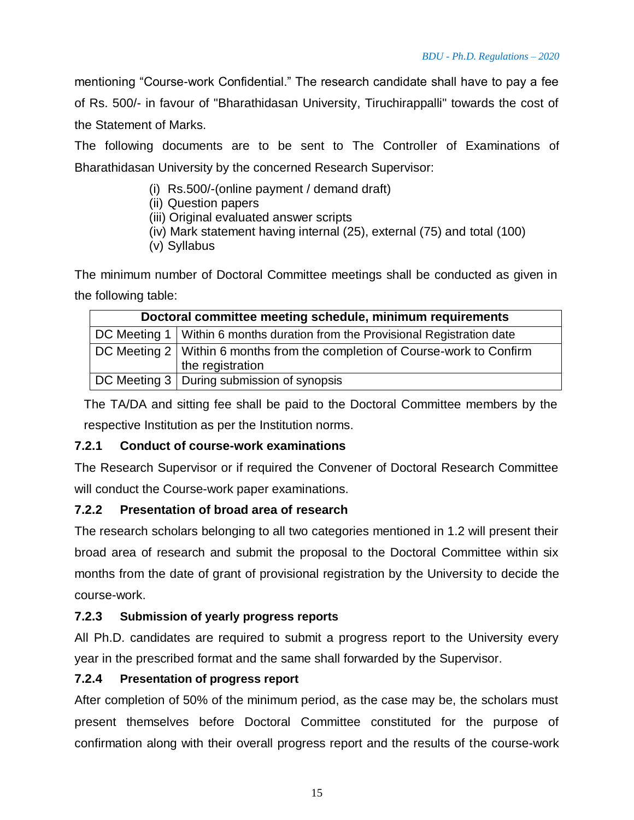15

mentioning "Course-work Confidential." The research candidate shall have to pay a fee of Rs. 500/- in favour of "Bharathidasan University, Tiruchirappalli" towards the cost of the Statement of Marks.

The following documents are to be sent to The Controller of Examinations of Bharathidasan University by the concerned Research Supervisor:

- (i) Rs.500/-(online payment / demand draft)
- (ii) Question papers
- (iii) Original evaluated answer scripts
- (iv) Mark statement having internal (25), external (75) and total (100)
- (v) Syllabus

The minimum number of Doctoral Committee meetings shall be conducted as given in the following table:

| Doctoral committee meeting schedule, minimum requirements                      |                                              |  |  |  |  |
|--------------------------------------------------------------------------------|----------------------------------------------|--|--|--|--|
| DC Meeting 1   Within 6 months duration from the Provisional Registration date |                                              |  |  |  |  |
| DC Meeting 2   Within 6 months from the completion of Course-work to Confirm   |                                              |  |  |  |  |
|                                                                                | the registration                             |  |  |  |  |
|                                                                                | DC Meeting 3   During submission of synopsis |  |  |  |  |

The TA/DA and sitting fee shall be paid to the Doctoral Committee members by the respective Institution as per the Institution norms.

## **7.2.1 Conduct of course-work examinations**

The Research Supervisor or if required the Convener of Doctoral Research Committee will conduct the Course-work paper examinations.

## **7.2.2 Presentation of broad area of research**

The research scholars belonging to all two categories mentioned in 1.2 will present their broad area of research and submit the proposal to the Doctoral Committee within six months from the date of grant of provisional registration by the University to decide the course-work.

## **7.2.3 Submission of yearly progress reports**

All Ph.D. candidates are required to submit a progress report to the University every year in the prescribed format and the same shall forwarded by the Supervisor.

## **7.2.4 Presentation of progress report**

After completion of 50% of the minimum period, as the case may be, the scholars must present themselves before Doctoral Committee constituted for the purpose of confirmation along with their overall progress report and the results of the course-work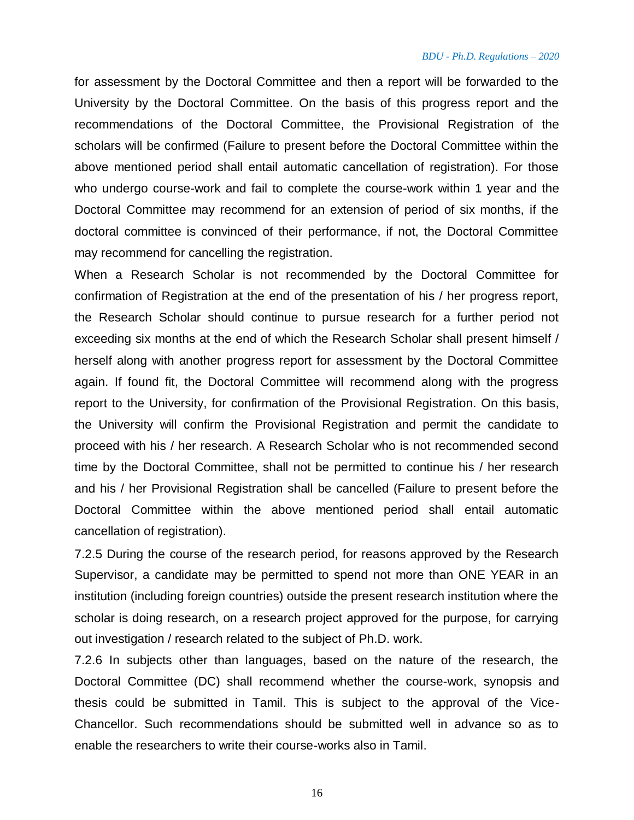for assessment by the Doctoral Committee and then a report will be forwarded to the University by the Doctoral Committee. On the basis of this progress report and the recommendations of the Doctoral Committee, the Provisional Registration of the scholars will be confirmed (Failure to present before the Doctoral Committee within the above mentioned period shall entail automatic cancellation of registration). For those who undergo course-work and fail to complete the course-work within 1 year and the Doctoral Committee may recommend for an extension of period of six months, if the doctoral committee is convinced of their performance, if not, the Doctoral Committee may recommend for cancelling the registration.

When a Research Scholar is not recommended by the Doctoral Committee for confirmation of Registration at the end of the presentation of his / her progress report, the Research Scholar should continue to pursue research for a further period not exceeding six months at the end of which the Research Scholar shall present himself / herself along with another progress report for assessment by the Doctoral Committee again. If found fit, the Doctoral Committee will recommend along with the progress report to the University, for confirmation of the Provisional Registration. On this basis, the University will confirm the Provisional Registration and permit the candidate to proceed with his / her research. A Research Scholar who is not recommended second time by the Doctoral Committee, shall not be permitted to continue his / her research and his / her Provisional Registration shall be cancelled (Failure to present before the Doctoral Committee within the above mentioned period shall entail automatic cancellation of registration).

7.2.5 During the course of the research period, for reasons approved by the Research Supervisor, a candidate may be permitted to spend not more than ONE YEAR in an institution (including foreign countries) outside the present research institution where the scholar is doing research, on a research project approved for the purpose, for carrying out investigation / research related to the subject of Ph.D. work.

7.2.6 In subjects other than languages, based on the nature of the research, the Doctoral Committee (DC) shall recommend whether the course-work, synopsis and thesis could be submitted in Tamil. This is subject to the approval of the Vice-Chancellor. Such recommendations should be submitted well in advance so as to enable the researchers to write their course-works also in Tamil.

16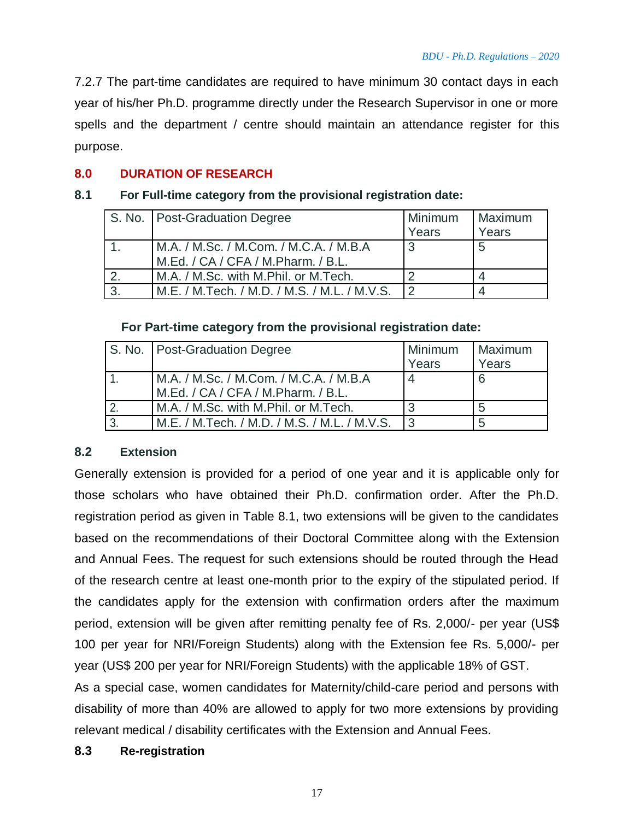7.2.7 The part-time candidates are required to have minimum 30 contact days in each year of his/her Ph.D. programme directly under the Research Supervisor in one or more spells and the department / centre should maintain an attendance register for this purpose.

#### **8.0 DURATION OF RESEARCH**

#### **8.1 For Full-time category from the provisional registration date:**

|    | S. No.   Post-Graduation Degree                                              | Minimum<br>Years | Maximum<br>Years |
|----|------------------------------------------------------------------------------|------------------|------------------|
|    | M.A. / M.Sc. / M.Com. / M.C.A. / M.B.A<br>M.Ed. / CA / CFA / M.Pharm. / B.L. | ્ર               | 5                |
|    | M.A. / M.Sc. with M.Phil. or M.Tech.                                         | ◠                |                  |
| 3. | M.E. / M.Tech. / M.D. / M.S. / M.L. / M.V.S.                                 | $\mathcal{P}$    |                  |

#### **For Part-time category from the provisional registration date:**

| S. No.   Post-Graduation Degree                                              | Minimum<br>Years | Maximum<br>Years |
|------------------------------------------------------------------------------|------------------|------------------|
| M.A. / M.Sc. / M.Com. / M.C.A. / M.B.A<br>M.Ed. / CA / CFA / M.Pharm. / B.L. |                  | 6                |
| M.A. / M.Sc. with M.Phil. or M.Tech.                                         |                  | 5                |
| M.E. / M.Tech. / M.D. / M.S. / M.L. / M.V.S.                                 | $\mathsf{L}$     | 5                |

#### **8.2 Extension**

Generally extension is provided for a period of one year and it is applicable only for those scholars who have obtained their Ph.D. confirmation order. After the Ph.D. registration period as given in Table 8.1, two extensions will be given to the candidates based on the recommendations of their Doctoral Committee along with the Extension and Annual Fees. The request for such extensions should be routed through the Head of the research centre at least one-month prior to the expiry of the stipulated period. If the candidates apply for the extension with confirmation orders after the maximum period, extension will be given after remitting penalty fee of Rs. 2,000/- per year (US\$ 100 per year for NRI/Foreign Students) along with the Extension fee Rs. 5,000/- per year (US\$ 200 per year for NRI/Foreign Students) with the applicable 18% of GST.

As a special case, women candidates for Maternity/child-care period and persons with disability of more than 40% are allowed to apply for two more extensions by providing relevant medical / disability certificates with the Extension and Annual Fees.

#### **8.3 Re-registration**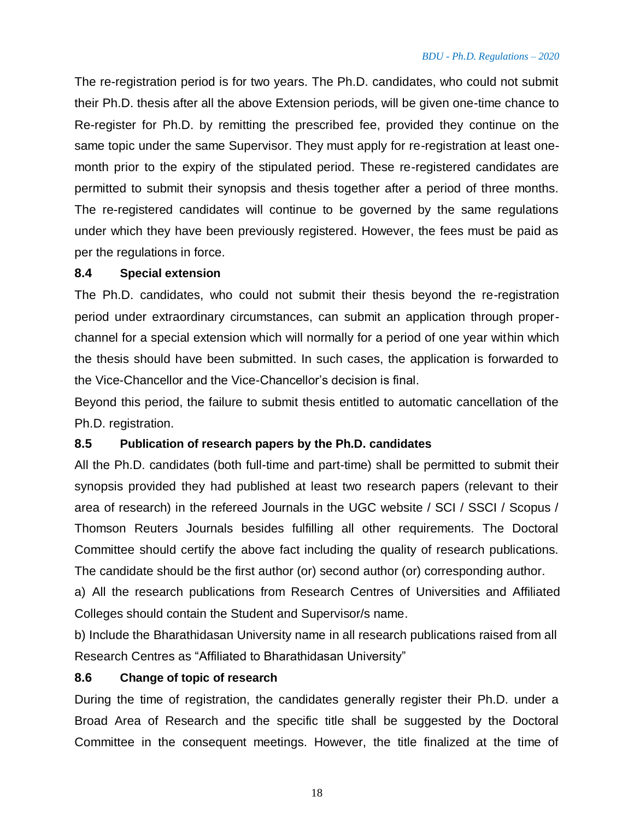The re-registration period is for two years. The Ph.D. candidates, who could not submit their Ph.D. thesis after all the above Extension periods, will be given one-time chance to Re-register for Ph.D. by remitting the prescribed fee, provided they continue on the same topic under the same Supervisor. They must apply for re-registration at least onemonth prior to the expiry of the stipulated period. These re-registered candidates are permitted to submit their synopsis and thesis together after a period of three months. The re-registered candidates will continue to be governed by the same regulations under which they have been previously registered. However, the fees must be paid as per the regulations in force.

#### **8.4 Special extension**

The Ph.D. candidates, who could not submit their thesis beyond the re-registration period under extraordinary circumstances, can submit an application through properchannel for a special extension which will normally for a period of one year within which the thesis should have been submitted. In such cases, the application is forwarded to the Vice-Chancellor and the Vice-Chancellor's decision is final.

Beyond this period, the failure to submit thesis entitled to automatic cancellation of the Ph.D. registration.

#### **8.5 Publication of research papers by the Ph.D. candidates**

All the Ph.D. candidates (both full-time and part-time) shall be permitted to submit their synopsis provided they had published at least two research papers (relevant to their area of research) in the refereed Journals in the UGC website / SCI / SSCI / Scopus / Thomson Reuters Journals besides fulfilling all other requirements. The Doctoral Committee should certify the above fact including the quality of research publications. The candidate should be the first author (or) second author (or) corresponding author.

a) All the research publications from Research Centres of Universities and Affiliated Colleges should contain the Student and Supervisor/s name.

b) Include the Bharathidasan University name in all research publications raised from all Research Centres as "Affiliated to Bharathidasan University"

#### **8.6 Change of topic of research**

During the time of registration, the candidates generally register their Ph.D. under a Broad Area of Research and the specific title shall be suggested by the Doctoral Committee in the consequent meetings. However, the title finalized at the time of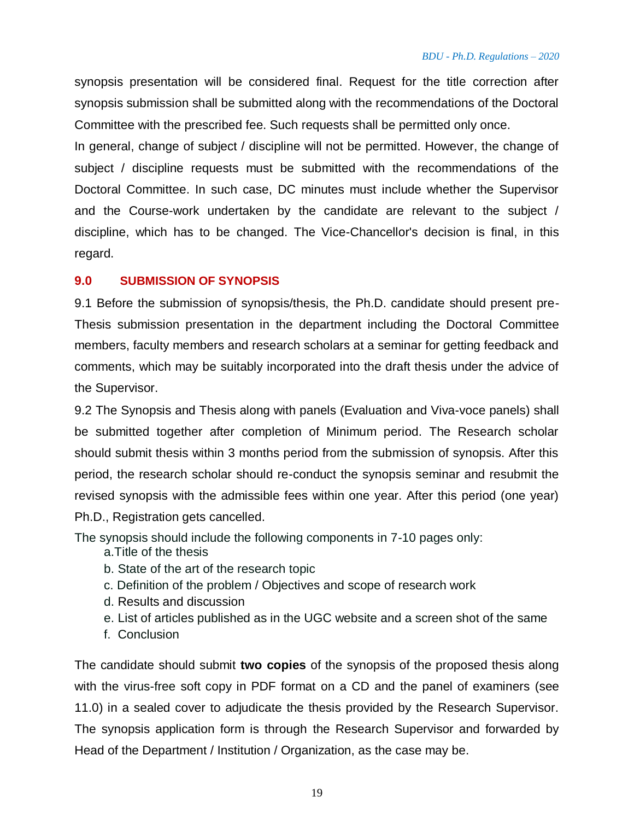synopsis presentation will be considered final. Request for the title correction after synopsis submission shall be submitted along with the recommendations of the Doctoral Committee with the prescribed fee. Such requests shall be permitted only once.

In general, change of subject / discipline will not be permitted. However, the change of subject / discipline requests must be submitted with the recommendations of the Doctoral Committee. In such case, DC minutes must include whether the Supervisor and the Course-work undertaken by the candidate are relevant to the subject / discipline, which has to be changed. The Vice-Chancellor's decision is final, in this regard.

#### **9.0 SUBMISSION OF SYNOPSIS**

9.1 Before the submission of synopsis/thesis, the Ph.D. candidate should present pre-Thesis submission presentation in the department including the Doctoral Committee members, faculty members and research scholars at a seminar for getting feedback and comments, which may be suitably incorporated into the draft thesis under the advice of the Supervisor.

9.2 The Synopsis and Thesis along with panels (Evaluation and Viva-voce panels) shall be submitted together after completion of Minimum period. The Research scholar should submit thesis within 3 months period from the submission of synopsis. After this period, the research scholar should re-conduct the synopsis seminar and resubmit the revised synopsis with the admissible fees within one year. After this period (one year) Ph.D., Registration gets cancelled.

The synopsis should include the following components in 7-10 pages only:

- a.Title of the thesis
- b. State of the art of the research topic
- c. Definition of the problem / Objectives and scope of research work
- d. Results and discussion
- e. List of articles published as in the UGC website and a screen shot of the same
- f. Conclusion

The candidate should submit **two copies** of the synopsis of the proposed thesis along with the virus-free soft copy in PDF format on a CD and the panel of examiners (see 11.0) in a sealed cover to adjudicate the thesis provided by the Research Supervisor. The synopsis application form is through the Research Supervisor and forwarded by Head of the Department / Institution / Organization, as the case may be.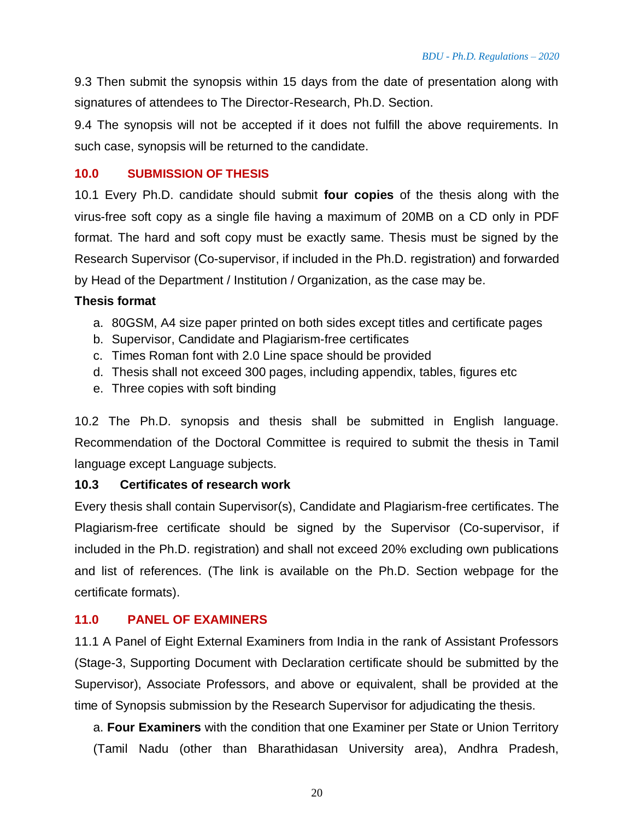9.3 Then submit the synopsis within 15 days from the date of presentation along with signatures of attendees to The Director-Research, Ph.D. Section.

9.4 The synopsis will not be accepted if it does not fulfill the above requirements. In such case, synopsis will be returned to the candidate.

#### **10.0 SUBMISSION OF THESIS**

10.1 Every Ph.D. candidate should submit **four copies** of the thesis along with the virus-free soft copy as a single file having a maximum of 20MB on a CD only in PDF format. The hard and soft copy must be exactly same. Thesis must be signed by the Research Supervisor (Co-supervisor, if included in the Ph.D. registration) and forwarded by Head of the Department / Institution / Organization, as the case may be.

#### **Thesis format**

- a. 80GSM, A4 size paper printed on both sides except titles and certificate pages
- b. Supervisor, Candidate and Plagiarism-free certificates
- c. Times Roman font with 2.0 Line space should be provided
- d. Thesis shall not exceed 300 pages, including appendix, tables, figures etc
- e. Three copies with soft binding

10.2 The Ph.D. synopsis and thesis shall be submitted in English language. Recommendation of the Doctoral Committee is required to submit the thesis in Tamil language except Language subjects.

#### **10.3 Certificates of research work**

Every thesis shall contain Supervisor(s), Candidate and Plagiarism-free certificates. The Plagiarism-free certificate should be signed by the Supervisor (Co-supervisor, if included in the Ph.D. registration) and shall not exceed 20% excluding own publications and list of references. (The link is available on the Ph.D. Section webpage for the certificate formats).

#### **11.0 PANEL OF EXAMINERS**

11.1 A Panel of Eight External Examiners from India in the rank of Assistant Professors (Stage-3, Supporting Document with Declaration certificate should be submitted by the Supervisor), Associate Professors, and above or equivalent, shall be provided at the time of Synopsis submission by the Research Supervisor for adjudicating the thesis.

a. **Four Examiners** with the condition that one Examiner per State or Union Territory (Tamil Nadu (other than Bharathidasan University area), Andhra Pradesh,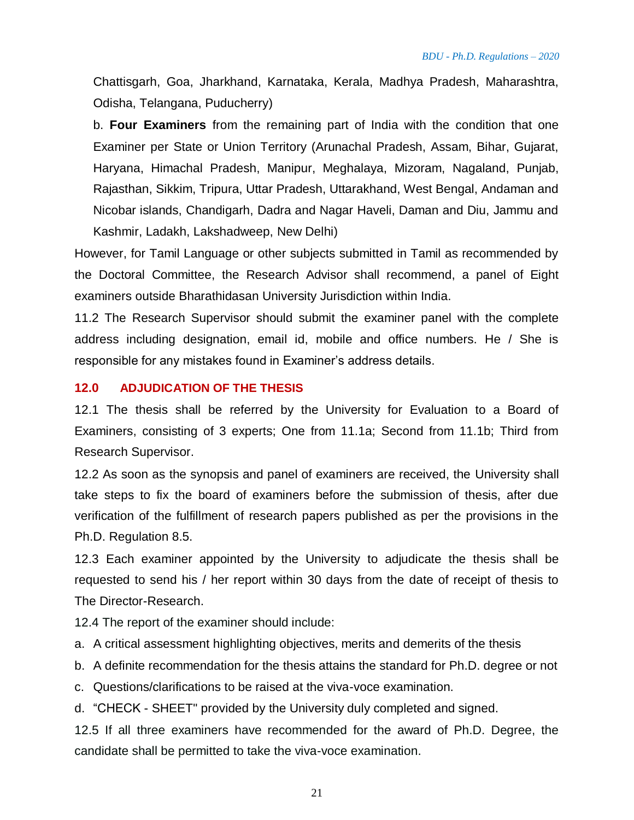Chattisgarh, Goa, Jharkhand, Karnataka, Kerala, Madhya Pradesh, Maharashtra, Odisha, Telangana, Puducherry)

b. **Four Examiners** from the remaining part of India with the condition that one Examiner per State or Union Territory (Arunachal Pradesh, Assam, Bihar, Gujarat, Haryana, Himachal Pradesh, Manipur, Meghalaya, Mizoram, Nagaland, Punjab, Rajasthan, Sikkim, Tripura, Uttar Pradesh, Uttarakhand, West Bengal, Andaman and Nicobar islands, Chandigarh, Dadra and Nagar Haveli, Daman and Diu, Jammu and Kashmir, Ladakh, Lakshadweep, New Delhi)

However, for Tamil Language or other subjects submitted in Tamil as recommended by the Doctoral Committee, the Research Advisor shall recommend, a panel of Eight examiners outside Bharathidasan University Jurisdiction within India.

11.2 The Research Supervisor should submit the examiner panel with the complete address including designation, email id, mobile and office numbers. He / She is responsible for any mistakes found in Examiner's address details.

#### **12.0 ADJUDICATION OF THE THESIS**

12.1 The thesis shall be referred by the University for Evaluation to a Board of Examiners, consisting of 3 experts; One from 11.1a; Second from 11.1b; Third from Research Supervisor.

12.2 As soon as the synopsis and panel of examiners are received, the University shall take steps to fix the board of examiners before the submission of thesis, after due verification of the fulfillment of research papers published as per the provisions in the Ph.D. Regulation 8.5.

12.3 Each examiner appointed by the University to adjudicate the thesis shall be requested to send his / her report within 30 days from the date of receipt of thesis to The Director-Research.

12.4 The report of the examiner should include:

- a. A critical assessment highlighting objectives, merits and demerits of the thesis
- b. A definite recommendation for the thesis attains the standard for Ph.D. degree or not
- c. Questions/clarifications to be raised at the viva-voce examination.

d. "CHECK - SHEET" provided by the University duly completed and signed.

12.5 If all three examiners have recommended for the award of Ph.D. Degree, the candidate shall be permitted to take the viva-voce examination.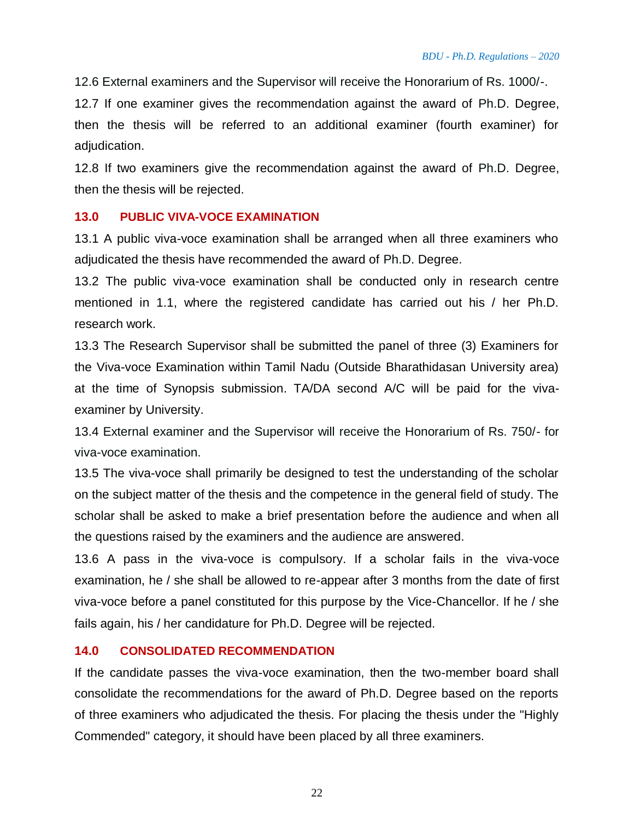12.6 External examiners and the Supervisor will receive the Honorarium of Rs. 1000/-.

12.7 If one examiner gives the recommendation against the award of Ph.D. Degree, then the thesis will be referred to an additional examiner (fourth examiner) for adjudication.

12.8 If two examiners give the recommendation against the award of Ph.D. Degree, then the thesis will be rejected.

#### **13.0 PUBLIC VIVA-VOCE EXAMINATION**

13.1 A public viva-voce examination shall be arranged when all three examiners who adjudicated the thesis have recommended the award of Ph.D. Degree.

13.2 The public viva-voce examination shall be conducted only in research centre mentioned in 1.1, where the registered candidate has carried out his / her Ph.D. research work.

13.3 The Research Supervisor shall be submitted the panel of three (3) Examiners for the Viva-voce Examination within Tamil Nadu (Outside Bharathidasan University area) at the time of Synopsis submission. TA/DA second A/C will be paid for the vivaexaminer by University.

13.4 External examiner and the Supervisor will receive the Honorarium of Rs. 750/- for viva-voce examination.

13.5 The viva-voce shall primarily be designed to test the understanding of the scholar on the subject matter of the thesis and the competence in the general field of study. The scholar shall be asked to make a brief presentation before the audience and when all the questions raised by the examiners and the audience are answered.

13.6 A pass in the viva-voce is compulsory. If a scholar fails in the viva-voce examination, he / she shall be allowed to re-appear after 3 months from the date of first viva-voce before a panel constituted for this purpose by the Vice-Chancellor. If he / she fails again, his / her candidature for Ph.D. Degree will be rejected.

#### **14.0 CONSOLIDATED RECOMMENDATION**

If the candidate passes the viva-voce examination, then the two-member board shall consolidate the recommendations for the award of Ph.D. Degree based on the reports of three examiners who adjudicated the thesis. For placing the thesis under the "Highly Commended" category, it should have been placed by all three examiners.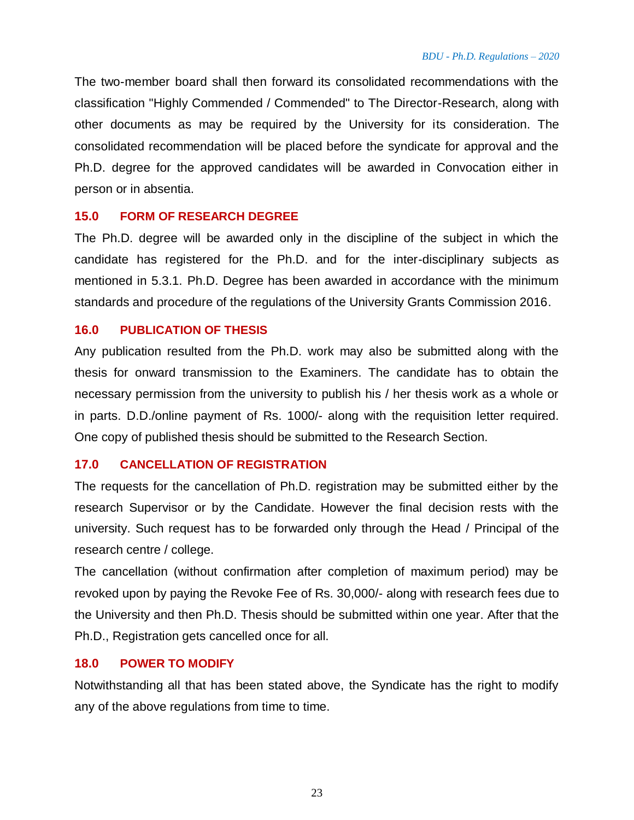The two-member board shall then forward its consolidated recommendations with the classification "Highly Commended / Commended" to The Director-Research, along with other documents as may be required by the University for its consideration. The consolidated recommendation will be placed before the syndicate for approval and the Ph.D. degree for the approved candidates will be awarded in Convocation either in person or in absentia.

#### **15.0 FORM OF RESEARCH DEGREE**

The Ph.D. degree will be awarded only in the discipline of the subject in which the candidate has registered for the Ph.D. and for the inter-disciplinary subjects as mentioned in 5.3.1. Ph.D. Degree has been awarded in accordance with the minimum standards and procedure of the regulations of the University Grants Commission 2016.

#### **16.0 PUBLICATION OF THESIS**

Any publication resulted from the Ph.D. work may also be submitted along with the thesis for onward transmission to the Examiners. The candidate has to obtain the necessary permission from the university to publish his / her thesis work as a whole or in parts. D.D./online payment of Rs. 1000/- along with the requisition letter required. One copy of published thesis should be submitted to the Research Section.

#### **17.0 CANCELLATION OF REGISTRATION**

The requests for the cancellation of Ph.D. registration may be submitted either by the research Supervisor or by the Candidate. However the final decision rests with the university. Such request has to be forwarded only through the Head / Principal of the research centre / college.

The cancellation (without confirmation after completion of maximum period) may be revoked upon by paying the Revoke Fee of Rs. 30,000/- along with research fees due to the University and then Ph.D. Thesis should be submitted within one year. After that the Ph.D., Registration gets cancelled once for all.

#### **18.0 POWER TO MODIFY**

Notwithstanding all that has been stated above, the Syndicate has the right to modify any of the above regulations from time to time.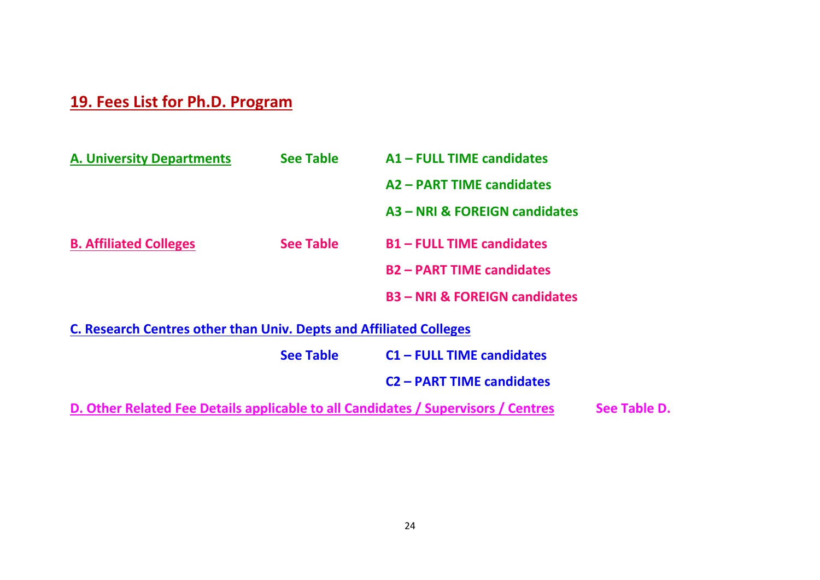# **19. Fees List for Ph.D. Program**

| <b>A. University Departments</b>                                          | <b>See Table</b> | A1 - FULL TIME candidates              |
|---------------------------------------------------------------------------|------------------|----------------------------------------|
|                                                                           |                  | A2 - PART TIME candidates              |
|                                                                           |                  | A3 - NRI & FOREIGN candidates          |
| <b>B. Affiliated Colleges</b>                                             | <b>See Table</b> | <b>B1-FULL TIME candidates</b>         |
|                                                                           |                  | <b>B2-PART TIME candidates</b>         |
|                                                                           |                  | <b>B3-NRI &amp; FOREIGN candidates</b> |
| <b>C. Research Centres other than Univ. Depts and Affiliated Colleges</b> |                  |                                        |
|                                                                           | <b>See Table</b> | <b>C1-FULL TIME candidates</b>         |
|                                                                           |                  | <b>C2 - PART TIME candidates</b>       |

**D. Other Related Fee Details applicable to all Candidates / Supervisors / Centres See Table D.**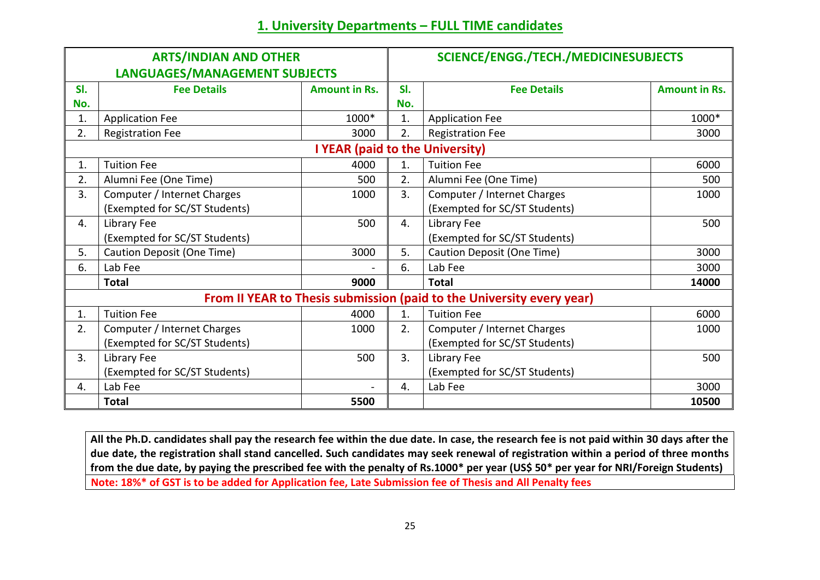# **1. University Departments – FULL TIME candidates**

| <b>ARTS/INDIAN AND OTHER</b> |                               |                                 | SCIENCE/ENGG./TECH./MEDICINESUBJECTS |                                                                       |                      |  |
|------------------------------|-------------------------------|---------------------------------|--------------------------------------|-----------------------------------------------------------------------|----------------------|--|
|                              | LANGUAGES/MANAGEMENT SUBJECTS |                                 |                                      |                                                                       |                      |  |
| SI.                          | <b>Fee Details</b>            | <b>Amount in Rs.</b>            | SI.                                  | <b>Fee Details</b>                                                    | <b>Amount in Rs.</b> |  |
| No.                          |                               |                                 | No.                                  |                                                                       |                      |  |
| 1.                           | <b>Application Fee</b>        | 1000*                           | 1.                                   | <b>Application Fee</b>                                                | 1000*                |  |
| 2.                           | <b>Registration Fee</b>       | 3000                            | 2.                                   | <b>Registration Fee</b>                                               | 3000                 |  |
|                              |                               | I YEAR (paid to the University) |                                      |                                                                       |                      |  |
| 1.                           | <b>Tuition Fee</b>            | 4000                            | 1.                                   | <b>Tuition Fee</b>                                                    | 6000                 |  |
| 2.                           | Alumni Fee (One Time)         | 500                             | 2.                                   | Alumni Fee (One Time)                                                 | 500                  |  |
| 3.                           | Computer / Internet Charges   | 1000                            | 3.                                   | Computer / Internet Charges                                           | 1000                 |  |
|                              | (Exempted for SC/ST Students) |                                 |                                      | (Exempted for SC/ST Students)                                         |                      |  |
| 4.                           | Library Fee                   | 500                             | 4.                                   | Library Fee                                                           | 500                  |  |
|                              | (Exempted for SC/ST Students) |                                 |                                      | (Exempted for SC/ST Students)                                         |                      |  |
| 5.                           | Caution Deposit (One Time)    | 3000                            | 5.                                   | Caution Deposit (One Time)                                            | 3000                 |  |
| 6.                           | Lab Fee                       |                                 | 6.                                   | Lab Fee                                                               | 3000                 |  |
|                              | <b>Total</b>                  | 9000                            |                                      | <b>Total</b>                                                          | 14000                |  |
|                              |                               |                                 |                                      | From II YEAR to Thesis submission (paid to the University every year) |                      |  |
| 1.                           | <b>Tuition Fee</b>            | 4000                            | 1.                                   | <b>Tuition Fee</b>                                                    | 6000                 |  |
| 2.                           | Computer / Internet Charges   | 1000                            | 2.                                   | Computer / Internet Charges                                           | 1000                 |  |
|                              | (Exempted for SC/ST Students) |                                 |                                      | (Exempted for SC/ST Students)                                         |                      |  |
| 3.                           | Library Fee                   | 500                             | 3.                                   | Library Fee                                                           | 500                  |  |
|                              | (Exempted for SC/ST Students) |                                 |                                      | (Exempted for SC/ST Students)                                         |                      |  |
| 4.                           | Lab Fee                       | $\blacksquare$                  | 4.                                   | Lab Fee                                                               | 3000                 |  |
|                              | <b>Total</b>                  | 5500                            |                                      |                                                                       | 10500                |  |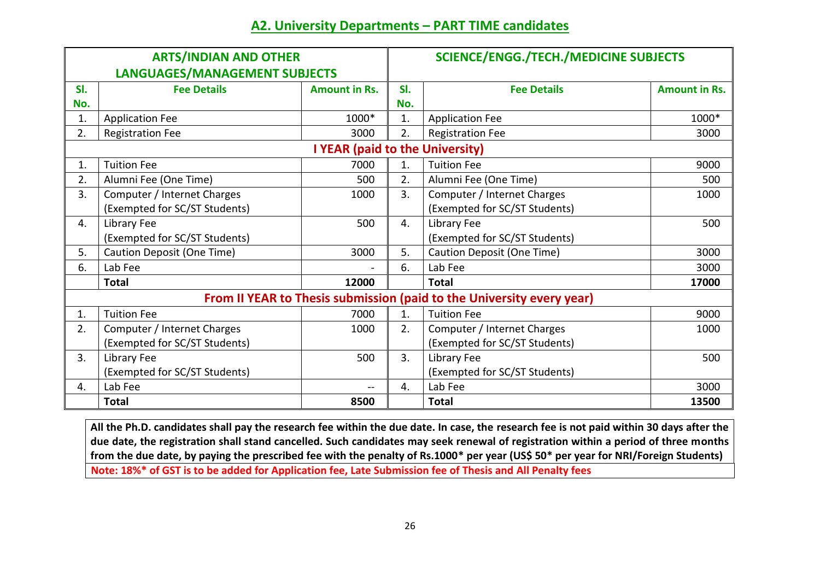# **A2. University Departments – PART TIME candidates**

| <b>ARTS/INDIAN AND OTHER</b> |                               |                                 | <b>SCIENCE/ENGG./TECH./MEDICINE SUBJECTS</b> |                                                                       |                      |  |
|------------------------------|-------------------------------|---------------------------------|----------------------------------------------|-----------------------------------------------------------------------|----------------------|--|
|                              | LANGUAGES/MANAGEMENT SUBJECTS |                                 |                                              |                                                                       |                      |  |
| SI.                          | <b>Fee Details</b>            | <b>Amount in Rs.</b>            | SI.                                          | <b>Fee Details</b>                                                    | <b>Amount in Rs.</b> |  |
| No.                          |                               |                                 | No.                                          |                                                                       |                      |  |
| 1.                           | <b>Application Fee</b>        | 1000*                           | 1.                                           | <b>Application Fee</b>                                                | 1000*                |  |
| 2.                           | <b>Registration Fee</b>       | 3000                            | 2.                                           | <b>Registration Fee</b>                                               | 3000                 |  |
|                              |                               | I YEAR (paid to the University) |                                              |                                                                       |                      |  |
| 1.                           | <b>Tuition Fee</b>            | 7000                            | 1.                                           | <b>Tuition Fee</b>                                                    | 9000                 |  |
| 2.                           | Alumni Fee (One Time)         | 500                             | 2.                                           | Alumni Fee (One Time)                                                 | 500                  |  |
| 3.                           | Computer / Internet Charges   | 1000                            | 3.                                           | Computer / Internet Charges                                           | 1000                 |  |
|                              | (Exempted for SC/ST Students) |                                 |                                              | (Exempted for SC/ST Students)                                         |                      |  |
| 4.                           | Library Fee                   | 500                             | 4.                                           | Library Fee                                                           | 500                  |  |
|                              | (Exempted for SC/ST Students) |                                 |                                              | (Exempted for SC/ST Students)                                         |                      |  |
| 5.                           | Caution Deposit (One Time)    | 3000                            | 5.                                           | Caution Deposit (One Time)                                            | 3000                 |  |
| 6.                           | Lab Fee                       |                                 | 6.                                           | Lab Fee                                                               | 3000                 |  |
|                              | <b>Total</b>                  | 12000                           |                                              | <b>Total</b>                                                          | 17000                |  |
|                              |                               |                                 |                                              | From II YEAR to Thesis submission (paid to the University every year) |                      |  |
| 1.                           | <b>Tuition Fee</b>            | 7000                            | 1.                                           | <b>Tuition Fee</b>                                                    | 9000                 |  |
| 2.                           | Computer / Internet Charges   | 1000                            | 2.                                           | Computer / Internet Charges                                           | 1000                 |  |
|                              | (Exempted for SC/ST Students) |                                 |                                              | (Exempted for SC/ST Students)                                         |                      |  |
| 3.                           | Library Fee                   | 500                             | 3.                                           | Library Fee                                                           | 500                  |  |
|                              | (Exempted for SC/ST Students) |                                 |                                              | (Exempted for SC/ST Students)                                         |                      |  |
| 4.                           | Lab Fee                       | $\overline{\phantom{m}}$        | 4.                                           | Lab Fee                                                               | 3000                 |  |
|                              | <b>Total</b>                  | 8500                            |                                              | <b>Total</b>                                                          | 13500                |  |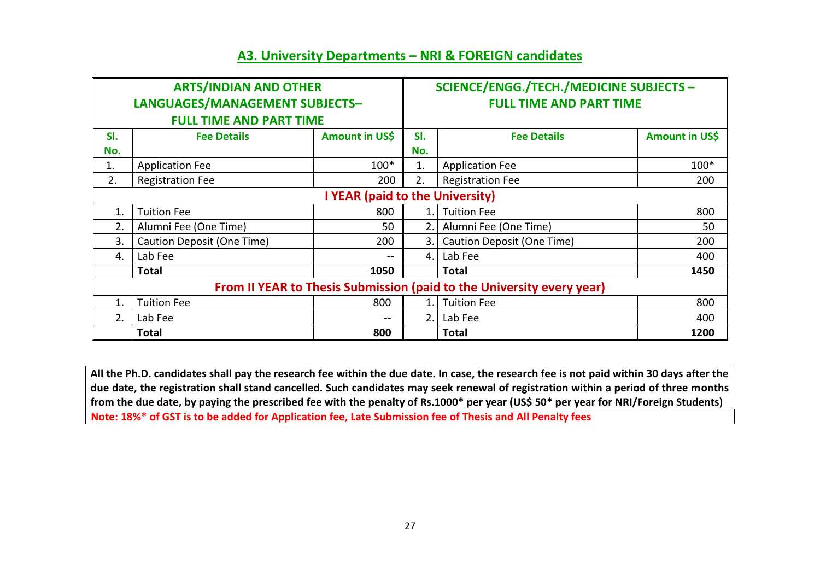### **A3. University Departments – NRI & FOREIGN candidates**

| <b>ARTS/INDIAN AND OTHER</b>    |                                                                       |                | SCIENCE/ENGG./TECH./MEDICINE SUBJECTS - |                            |                |  |
|---------------------------------|-----------------------------------------------------------------------|----------------|-----------------------------------------|----------------------------|----------------|--|
| LANGUAGES/MANAGEMENT SUBJECTS-  |                                                                       |                | <b>FULL TIME AND PART TIME</b>          |                            |                |  |
|                                 | <b>FULL TIME AND PART TIME</b>                                        |                |                                         |                            |                |  |
| SI.                             | <b>Fee Details</b>                                                    | Amount in US\$ | SI.                                     | <b>Fee Details</b>         | Amount in US\$ |  |
| No.                             |                                                                       |                | No.                                     |                            |                |  |
| 1.                              | <b>Application Fee</b>                                                | $100*$         | 1.                                      | <b>Application Fee</b>     | $100*$         |  |
| 2.                              | <b>Registration Fee</b>                                               | 200            | 2.                                      | <b>Registration Fee</b>    | 200            |  |
| I YEAR (paid to the University) |                                                                       |                |                                         |                            |                |  |
| 1.                              | <b>Tuition Fee</b>                                                    | 800            | 1.                                      | <b>Tuition Fee</b>         | 800            |  |
| 2.                              | Alumni Fee (One Time)                                                 | 50             | 2.                                      | Alumni Fee (One Time)      | 50             |  |
| 3.                              | Caution Deposit (One Time)                                            | 200            | 3.                                      | Caution Deposit (One Time) | 200            |  |
| 4.                              | Lab Fee                                                               | --             | 4.                                      | Lab Fee                    | 400            |  |
|                                 | <b>Total</b>                                                          | 1050           |                                         | <b>Total</b>               | 1450           |  |
|                                 | From II YEAR to Thesis Submission (paid to the University every year) |                |                                         |                            |                |  |
| 1.                              | <b>Tuition Fee</b>                                                    | 800            | 1.                                      | <b>Tuition Fee</b>         | 800            |  |
| 2.                              | Lab Fee                                                               | $- -$          | 2.                                      | Lab Fee                    | 400            |  |
|                                 | <b>Total</b>                                                          | 800            |                                         | <b>Total</b>               | 1200           |  |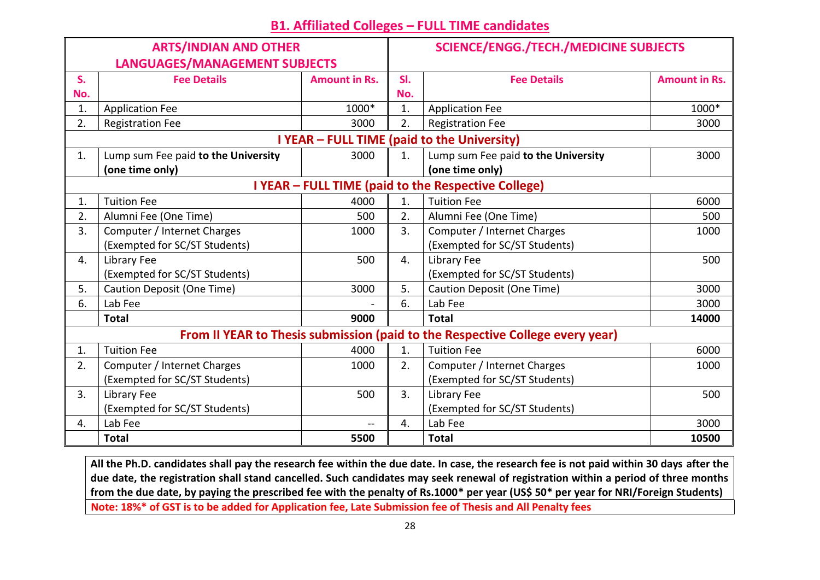# **B1. Affiliated Colleges – FULL TIME candidates**

| <b>ARTS/INDIAN AND OTHER</b>  |                                     |                      | <b>SCIENCE/ENGG./TECH./MEDICINE SUBJECTS</b> |                                                                               |                      |
|-------------------------------|-------------------------------------|----------------------|----------------------------------------------|-------------------------------------------------------------------------------|----------------------|
| LANGUAGES/MANAGEMENT SUBJECTS |                                     |                      |                                              |                                                                               |                      |
| S.                            | <b>Fee Details</b>                  | <b>Amount in Rs.</b> | SI.                                          | <b>Fee Details</b>                                                            | <b>Amount in Rs.</b> |
| No.                           |                                     |                      | No.                                          |                                                                               |                      |
| 1.                            | <b>Application Fee</b>              | 1000*                | 1.                                           | <b>Application Fee</b>                                                        | 1000*                |
| 2.                            | <b>Registration Fee</b>             | 3000                 | 2.                                           | <b>Registration Fee</b>                                                       | 3000                 |
|                               |                                     |                      |                                              | I YEAR - FULL TIME (paid to the University)                                   |                      |
| 1.                            | Lump sum Fee paid to the University | 3000                 | 1.                                           | Lump sum Fee paid to the University                                           | 3000                 |
|                               | (one time only)                     |                      |                                              | (one time only)                                                               |                      |
|                               |                                     |                      |                                              | I YEAR - FULL TIME (paid to the Respective College)                           |                      |
| 1.                            | <b>Tuition Fee</b>                  | 4000                 | 1.                                           | <b>Tuition Fee</b>                                                            | 6000                 |
| 2.                            | Alumni Fee (One Time)               | 500                  | 2.                                           | Alumni Fee (One Time)                                                         | 500                  |
| 3.                            | Computer / Internet Charges         | 1000                 | 3.                                           | Computer / Internet Charges                                                   | 1000                 |
|                               | (Exempted for SC/ST Students)       |                      |                                              | (Exempted for SC/ST Students)                                                 |                      |
| 4.                            | Library Fee                         | 500                  | 4.                                           | Library Fee                                                                   | 500                  |
|                               | (Exempted for SC/ST Students)       |                      |                                              | (Exempted for SC/ST Students)                                                 |                      |
| 5.                            | Caution Deposit (One Time)          | 3000                 | 5.                                           | Caution Deposit (One Time)                                                    | 3000                 |
| 6.                            | Lab Fee                             |                      | 6.                                           | Lab Fee                                                                       | 3000                 |
|                               | <b>Total</b>                        | 9000                 |                                              | <b>Total</b>                                                                  | 14000                |
|                               |                                     |                      |                                              | From II YEAR to Thesis submission (paid to the Respective College every year) |                      |
| 1.                            | <b>Tuition Fee</b>                  | 4000                 | 1.                                           | <b>Tuition Fee</b>                                                            | 6000                 |
| 2.                            | Computer / Internet Charges         | 1000                 | 2.                                           | Computer / Internet Charges                                                   | 1000                 |
|                               | (Exempted for SC/ST Students)       |                      |                                              | (Exempted for SC/ST Students)                                                 |                      |
| 3.                            | Library Fee                         | 500                  | 3.                                           | Library Fee                                                                   | 500                  |
|                               | (Exempted for SC/ST Students)       |                      |                                              | (Exempted for SC/ST Students)                                                 |                      |
| 4.                            | Lab Fee                             | $\overline{a}$       | 4.                                           | Lab Fee                                                                       | 3000                 |
|                               | <b>Total</b>                        | 5500                 |                                              | <b>Total</b>                                                                  | 10500                |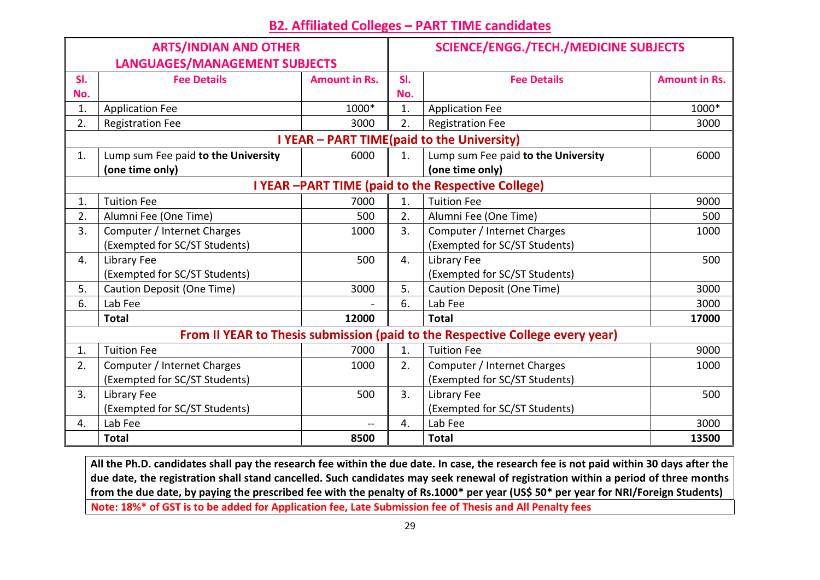# **B2. Affiliated Colleges – PART TIME candidates**

| <b>ARTS/INDIAN AND OTHER</b>                                                  |                                     |                      | <b>SCIENCE/ENGG./TECH./MEDICINE SUBJECTS</b> |                                     |                      |  |
|-------------------------------------------------------------------------------|-------------------------------------|----------------------|----------------------------------------------|-------------------------------------|----------------------|--|
| LANGUAGES/MANAGEMENT SUBJECTS                                                 |                                     |                      |                                              |                                     |                      |  |
| SI.                                                                           | <b>Fee Details</b>                  | <b>Amount in Rs.</b> | SI.                                          | <b>Fee Details</b>                  | <b>Amount in Rs.</b> |  |
| No.                                                                           |                                     |                      | No.                                          |                                     |                      |  |
| 1.                                                                            | <b>Application Fee</b>              | 1000*                | 1.                                           | <b>Application Fee</b>              | 1000*                |  |
| 2.                                                                            | <b>Registration Fee</b>             | 3000                 | 2.                                           | <b>Registration Fee</b>             | 3000                 |  |
| I YEAR - PART TIME(paid to the University)                                    |                                     |                      |                                              |                                     |                      |  |
| 1.                                                                            | Lump sum Fee paid to the University | 6000                 | 1.                                           | Lump sum Fee paid to the University | 6000                 |  |
|                                                                               | (one time only)                     |                      |                                              | (one time only)                     |                      |  |
| I YEAR -PART TIME (paid to the Respective College)                            |                                     |                      |                                              |                                     |                      |  |
| 1.                                                                            | <b>Tuition Fee</b>                  | 7000                 | 1.                                           | <b>Tuition Fee</b>                  | 9000                 |  |
| 2.                                                                            | Alumni Fee (One Time)               | 500                  | 2.                                           | Alumni Fee (One Time)               | 500                  |  |
| 3.                                                                            | Computer / Internet Charges         | 1000                 | 3.                                           | Computer / Internet Charges         | 1000                 |  |
|                                                                               | (Exempted for SC/ST Students)       |                      |                                              | (Exempted for SC/ST Students)       |                      |  |
| 4.                                                                            | Library Fee                         | 500                  | 4.                                           | Library Fee                         | 500                  |  |
|                                                                               | (Exempted for SC/ST Students)       |                      |                                              | (Exempted for SC/ST Students)       |                      |  |
| 5.                                                                            | Caution Deposit (One Time)          | 3000                 | 5.                                           | Caution Deposit (One Time)          | 3000                 |  |
| 6.                                                                            | Lab Fee                             |                      | 6.                                           | Lab Fee                             | 3000                 |  |
|                                                                               | <b>Total</b>                        | 12000                |                                              | <b>Total</b>                        | 17000                |  |
| From II YEAR to Thesis submission (paid to the Respective College every year) |                                     |                      |                                              |                                     |                      |  |
| 1.                                                                            | <b>Tuition Fee</b>                  | 7000                 | 1.                                           | <b>Tuition Fee</b>                  | 9000                 |  |
| 2.                                                                            | Computer / Internet Charges         | 1000                 | 2.                                           | Computer / Internet Charges         | 1000                 |  |
|                                                                               | (Exempted for SC/ST Students)       |                      |                                              | (Exempted for SC/ST Students)       |                      |  |
| 3.                                                                            | Library Fee                         | 500                  | 3.                                           | Library Fee                         | 500                  |  |
|                                                                               | (Exempted for SC/ST Students)       |                      |                                              | (Exempted for SC/ST Students)       |                      |  |
| 4.                                                                            | Lab Fee                             | $-$                  | 4.                                           | Lab Fee                             | 3000                 |  |
|                                                                               | <b>Total</b>                        | 8500                 |                                              | <b>Total</b>                        | 13500                |  |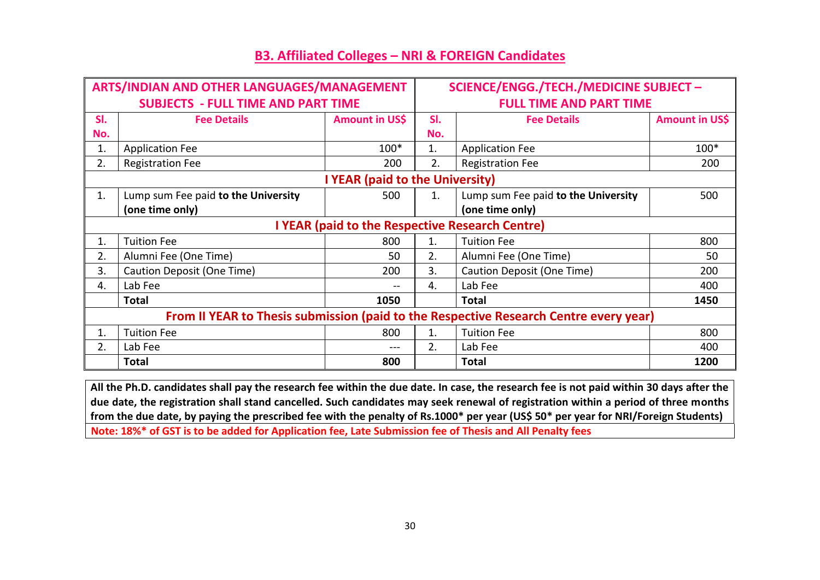| ARTS/INDIAN AND OTHER LANGUAGES/MANAGEMENT                                            |                                      |       | SCIENCE/ENGG./TECH./MEDICINE SUBJECT - |                                     |                |
|---------------------------------------------------------------------------------------|--------------------------------------|-------|----------------------------------------|-------------------------------------|----------------|
| <b>SUBJECTS - FULL TIME AND PART TIME</b>                                             |                                      |       | <b>FULL TIME AND PART TIME</b>         |                                     |                |
| SI.                                                                                   | Amount in US\$<br><b>Fee Details</b> |       | SI.                                    | <b>Fee Details</b>                  | Amount in US\$ |
| No.                                                                                   |                                      |       | No.                                    |                                     |                |
| 1.                                                                                    | <b>Application Fee</b>               | 100*  | 1.                                     | <b>Application Fee</b>              | 100*           |
| 2.                                                                                    | <b>Registration Fee</b>              | 200   | 2.                                     | <b>Registration Fee</b>             | 200            |
| I YEAR (paid to the University)                                                       |                                      |       |                                        |                                     |                |
| 1.                                                                                    | Lump sum Fee paid to the University  | 500   | 1.                                     | Lump sum Fee paid to the University | 500            |
|                                                                                       | (one time only)                      |       |                                        | (one time only)                     |                |
| I YEAR (paid to the Respective Research Centre)                                       |                                      |       |                                        |                                     |                |
| 1.                                                                                    | <b>Tuition Fee</b>                   | 800   | 1.                                     | <b>Tuition Fee</b>                  | 800            |
| 2.                                                                                    | Alumni Fee (One Time)                | 50    | 2.                                     | Alumni Fee (One Time)               | 50             |
| 3.                                                                                    | Caution Deposit (One Time)           | 200   | 3.                                     | Caution Deposit (One Time)          | 200            |
| 4.                                                                                    | Lab Fee                              | $- -$ | 4.                                     | Lab Fee                             | 400            |
|                                                                                       | <b>Total</b>                         | 1050  |                                        | Total                               | 1450           |
| From II YEAR to Thesis submission (paid to the Respective Research Centre every year) |                                      |       |                                        |                                     |                |
| 1.                                                                                    | <b>Tuition Fee</b>                   | 800   | 1.                                     | <b>Tuition Fee</b>                  | 800            |
| 2.                                                                                    | Lab Fee                              |       | 2.                                     | Lab Fee                             | 400            |
|                                                                                       | <b>Total</b>                         | 800   |                                        | Total                               | 1200           |

### **B3. Affiliated Colleges – NRI & FOREIGN Candidates**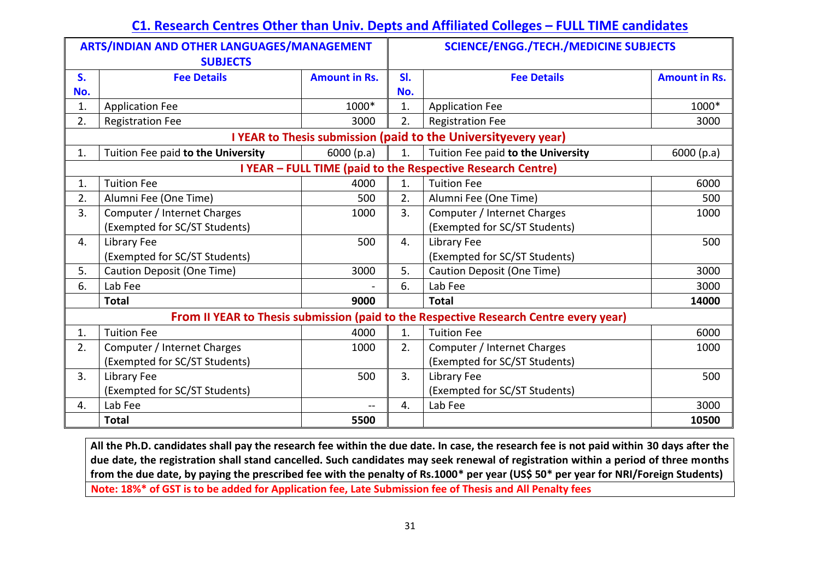# **C1. Research Centres Other than Univ. Depts and Affiliated Colleges – FULL TIME candidates**

| ARTS/INDIAN AND OTHER LANGUAGES/MANAGEMENT<br><b>SUBJECTS</b>                         |                                    |                      | <b>SCIENCE/ENGG./TECH./MEDICINE SUBJECTS</b> |                                    |                      |  |
|---------------------------------------------------------------------------------------|------------------------------------|----------------------|----------------------------------------------|------------------------------------|----------------------|--|
| S.                                                                                    | <b>Fee Details</b>                 | <b>Amount in Rs.</b> | SI.                                          | <b>Fee Details</b>                 | <b>Amount in Rs.</b> |  |
| No.                                                                                   |                                    |                      | No.                                          |                                    |                      |  |
| 1.                                                                                    | <b>Application Fee</b>             | 1000*                | 1.                                           | <b>Application Fee</b>             | 1000*                |  |
| 2.                                                                                    | <b>Registration Fee</b>            | 3000                 | 2.                                           | <b>Registration Fee</b>            | 3000                 |  |
| I YEAR to Thesis submission (paid to the University every year)                       |                                    |                      |                                              |                                    |                      |  |
| 1.                                                                                    | Tuition Fee paid to the University | 6000(p.a)            | 1.                                           | Tuition Fee paid to the University | 6000(p.a)            |  |
| I YEAR - FULL TIME (paid to the Respective Research Centre)                           |                                    |                      |                                              |                                    |                      |  |
| 1.                                                                                    | <b>Tuition Fee</b>                 | 4000                 | 1.                                           | <b>Tuition Fee</b>                 | 6000                 |  |
| 2.                                                                                    | Alumni Fee (One Time)              | 500                  | 2.                                           | Alumni Fee (One Time)              | 500                  |  |
| 3.                                                                                    | Computer / Internet Charges        | 1000                 | 3.                                           | Computer / Internet Charges        | 1000                 |  |
|                                                                                       | (Exempted for SC/ST Students)      |                      |                                              | (Exempted for SC/ST Students)      |                      |  |
| 4.                                                                                    | Library Fee                        | 500                  | 4.                                           | Library Fee                        | 500                  |  |
|                                                                                       | (Exempted for SC/ST Students)      |                      |                                              | (Exempted for SC/ST Students)      |                      |  |
| 5.                                                                                    | Caution Deposit (One Time)         | 3000                 | 5.                                           | <b>Caution Deposit (One Time)</b>  | 3000                 |  |
| 6.                                                                                    | Lab Fee                            |                      | 6.                                           | Lab Fee                            | 3000                 |  |
|                                                                                       | <b>Total</b>                       | 9000                 |                                              | <b>Total</b>                       | 14000                |  |
| From II YEAR to Thesis submission (paid to the Respective Research Centre every year) |                                    |                      |                                              |                                    |                      |  |
| 1.                                                                                    | <b>Tuition Fee</b>                 | 4000                 | 1.                                           | <b>Tuition Fee</b>                 | 6000                 |  |
| 2.                                                                                    | Computer / Internet Charges        | 1000                 | 2.                                           | Computer / Internet Charges        | 1000                 |  |
|                                                                                       | (Exempted for SC/ST Students)      |                      |                                              | (Exempted for SC/ST Students)      |                      |  |
| 3.                                                                                    | Library Fee                        | 500                  | 3.                                           | Library Fee                        | 500                  |  |
|                                                                                       | (Exempted for SC/ST Students)      |                      |                                              | (Exempted for SC/ST Students)      |                      |  |
| 4.                                                                                    | Lab Fee                            | $\mathbf{--}$        | 4.                                           | Lab Fee                            | 3000                 |  |
|                                                                                       | <b>Total</b>                       | 5500                 |                                              |                                    | 10500                |  |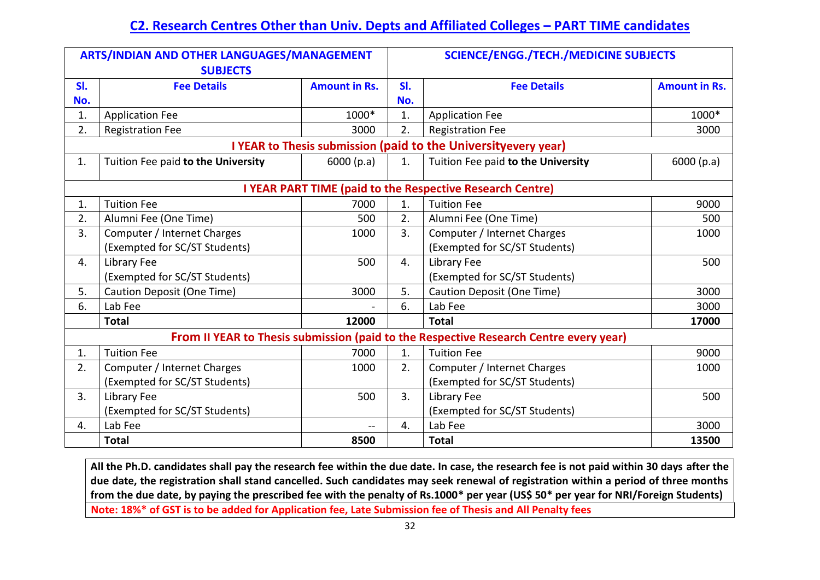# **C2. Research Centres Other than Univ. Depts and Affiliated Colleges – PART TIME candidates**

| ARTS/INDIAN AND OTHER LANGUAGES/MANAGEMENT<br><b>SUBJECTS</b>  |                                    |                      | <b>SCIENCE/ENGG./TECH./MEDICINE SUBJECTS</b> |                                                                                       |                      |  |
|----------------------------------------------------------------|------------------------------------|----------------------|----------------------------------------------|---------------------------------------------------------------------------------------|----------------------|--|
| SI.                                                            | <b>Fee Details</b>                 | <b>Amount in Rs.</b> | SI.                                          | <b>Fee Details</b>                                                                    | <b>Amount in Rs.</b> |  |
| No.                                                            |                                    |                      | No.                                          |                                                                                       |                      |  |
| 1.                                                             | <b>Application Fee</b>             | 1000*                | 1.                                           | <b>Application Fee</b>                                                                | 1000*                |  |
| 2.                                                             | <b>Registration Fee</b>            | 3000                 | 2.                                           | <b>Registration Fee</b>                                                               | 3000                 |  |
| I YEAR to Thesis submission (paid to the Universityevery year) |                                    |                      |                                              |                                                                                       |                      |  |
| 1.                                                             | Tuition Fee paid to the University | 6000(p.a)            | 1.                                           | Tuition Fee paid to the University                                                    | 6000(p.a)            |  |
| I YEAR PART TIME (paid to the Respective Research Centre)      |                                    |                      |                                              |                                                                                       |                      |  |
| 1.                                                             | <b>Tuition Fee</b>                 | 7000                 | 1.                                           | <b>Tuition Fee</b>                                                                    | 9000                 |  |
| 2.                                                             | Alumni Fee (One Time)              | 500                  | 2.                                           | Alumni Fee (One Time)                                                                 | 500                  |  |
| 3.                                                             | Computer / Internet Charges        | 1000                 | 3.                                           | Computer / Internet Charges                                                           | 1000                 |  |
|                                                                | (Exempted for SC/ST Students)      |                      |                                              | (Exempted for SC/ST Students)                                                         |                      |  |
| 4.                                                             | Library Fee                        | 500                  | 4.                                           | Library Fee                                                                           | 500                  |  |
|                                                                | (Exempted for SC/ST Students)      |                      |                                              | (Exempted for SC/ST Students)                                                         |                      |  |
| 5.                                                             | Caution Deposit (One Time)         | 3000                 | 5.                                           | Caution Deposit (One Time)                                                            | 3000                 |  |
| 6.                                                             | Lab Fee                            |                      | 6.                                           | Lab Fee                                                                               | 3000                 |  |
|                                                                | <b>Total</b>                       | 12000                |                                              | <b>Total</b>                                                                          | 17000                |  |
|                                                                |                                    |                      |                                              | From II YEAR to Thesis submission (paid to the Respective Research Centre every year) |                      |  |
| 1.                                                             | <b>Tuition Fee</b>                 | 7000                 | 1.                                           | <b>Tuition Fee</b>                                                                    | 9000                 |  |
| 2.                                                             | Computer / Internet Charges        | 1000                 | 2.                                           | Computer / Internet Charges                                                           | 1000                 |  |
|                                                                | (Exempted for SC/ST Students)      |                      |                                              | (Exempted for SC/ST Students)                                                         |                      |  |
| 3.                                                             | Library Fee                        | 500                  | 3.                                           | Library Fee                                                                           | 500                  |  |
|                                                                | (Exempted for SC/ST Students)      |                      |                                              | (Exempted for SC/ST Students)                                                         |                      |  |
| 4.                                                             | Lab Fee                            | $-$                  | 4.                                           | Lab Fee                                                                               | 3000                 |  |
|                                                                | <b>Total</b>                       | 8500                 |                                              | <b>Total</b>                                                                          | 13500                |  |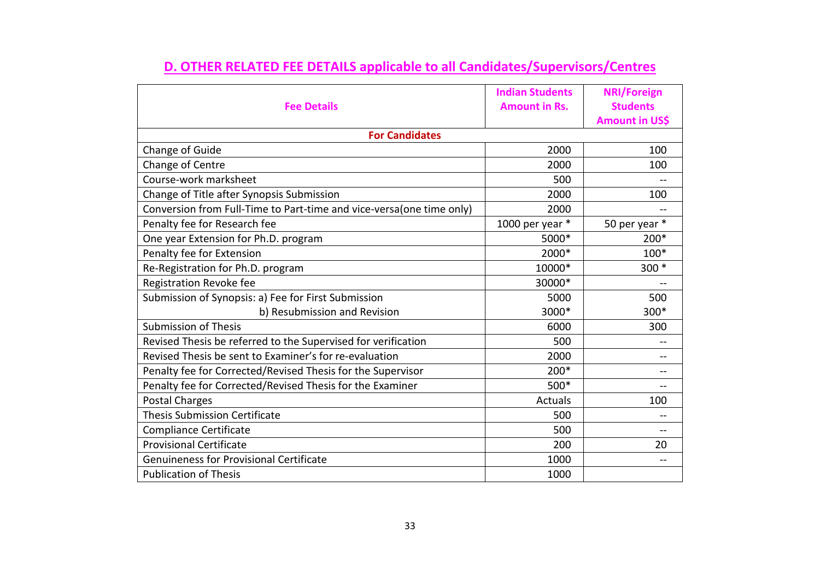|                                                                      | <b>Indian Students</b> | <b>NRI/Foreign</b>    |  |  |  |  |  |
|----------------------------------------------------------------------|------------------------|-----------------------|--|--|--|--|--|
| <b>Fee Details</b>                                                   | <b>Amount in Rs.</b>   | <b>Students</b>       |  |  |  |  |  |
|                                                                      |                        | <b>Amount in US\$</b> |  |  |  |  |  |
| <b>For Candidates</b>                                                |                        |                       |  |  |  |  |  |
| Change of Guide                                                      | 2000                   | 100                   |  |  |  |  |  |
| Change of Centre                                                     | 2000                   | 100                   |  |  |  |  |  |
| Course-work marksheet                                                | 500                    |                       |  |  |  |  |  |
| Change of Title after Synopsis Submission                            | 2000                   | 100                   |  |  |  |  |  |
| Conversion from Full-Time to Part-time and vice-versa(one time only) | 2000                   |                       |  |  |  |  |  |
| Penalty fee for Research fee                                         | 1000 per year *        | 50 per year *         |  |  |  |  |  |
| One year Extension for Ph.D. program                                 | 5000*                  | 200*                  |  |  |  |  |  |
| Penalty fee for Extension                                            | 2000*                  | 100*                  |  |  |  |  |  |
| Re-Registration for Ph.D. program                                    | 10000*                 | $300*$                |  |  |  |  |  |
| Registration Revoke fee                                              | 30000*                 |                       |  |  |  |  |  |
| Submission of Synopsis: a) Fee for First Submission                  | 5000                   | 500                   |  |  |  |  |  |
| b) Resubmission and Revision                                         | 3000*                  | 300*                  |  |  |  |  |  |
| <b>Submission of Thesis</b>                                          | 6000                   | 300                   |  |  |  |  |  |
| Revised Thesis be referred to the Supervised for verification        | 500                    | --                    |  |  |  |  |  |
| Revised Thesis be sent to Examiner's for re-evaluation               | 2000                   | --                    |  |  |  |  |  |
| Penalty fee for Corrected/Revised Thesis for the Supervisor          | 200*                   | --                    |  |  |  |  |  |
| Penalty fee for Corrected/Revised Thesis for the Examiner            | 500*                   |                       |  |  |  |  |  |
| <b>Postal Charges</b>                                                | Actuals                | 100                   |  |  |  |  |  |
| <b>Thesis Submission Certificate</b>                                 | 500                    | --                    |  |  |  |  |  |
| Compliance Certificate                                               | 500                    |                       |  |  |  |  |  |
| <b>Provisional Certificate</b>                                       | 200                    | 20                    |  |  |  |  |  |
| <b>Genuineness for Provisional Certificate</b>                       | 1000                   | --                    |  |  |  |  |  |
| <b>Publication of Thesis</b>                                         | 1000                   |                       |  |  |  |  |  |

# **D. OTHER RELATED FEE DETAILS applicable to all Candidates/Supervisors/Centres**